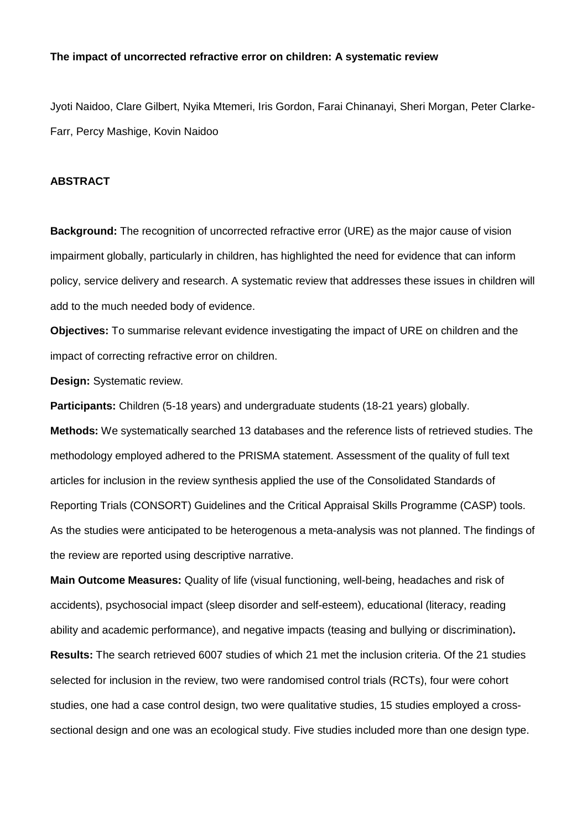#### **The impact of uncorrected refractive error on children: A systematic review**

Jyoti Naidoo, Clare Gilbert, Nyika Mtemeri, Iris Gordon, Farai Chinanayi, Sheri Morgan, Peter Clarke-Farr, Percy Mashige, Kovin Naidoo

## **ABSTRACT**

**Background:** The recognition of uncorrected refractive error (URE) as the major cause of vision impairment globally, particularly in children, has highlighted the need for evidence that can inform policy, service delivery and research. A systematic review that addresses these issues in children will add to the much needed body of evidence.

**Objectives:** To summarise relevant evidence investigating the impact of URE on children and the impact of correcting refractive error on children.

**Design:** Systematic review.

**Participants:** Children (5-18 years) and undergraduate students (18-21 years) globally. **Methods:** We systematically searched 13 databases and the reference lists of retrieved studies. The methodology employed adhered to the PRISMA statement. Assessment of the quality of full text articles for inclusion in the review synthesis applied the use of the Consolidated Standards of Reporting Trials (CONSORT) Guidelines and the Critical Appraisal Skills Programme (CASP) tools. As the studies were anticipated to be heterogenous a meta-analysis was not planned. The findings of the review are reported using descriptive narrative.

**Main Outcome Measures:** Quality of life (visual functioning, well-being, headaches and risk of accidents), psychosocial impact (sleep disorder and self-esteem), educational (literacy, reading ability and academic performance), and negative impacts (teasing and bullying or discrimination)**. Results:** The search retrieved 6007 studies of which 21 met the inclusion criteria. Of the 21 studies selected for inclusion in the review, two were randomised control trials (RCTs), four were cohort studies, one had a case control design, two were qualitative studies, 15 studies employed a crosssectional design and one was an ecological study. Five studies included more than one design type.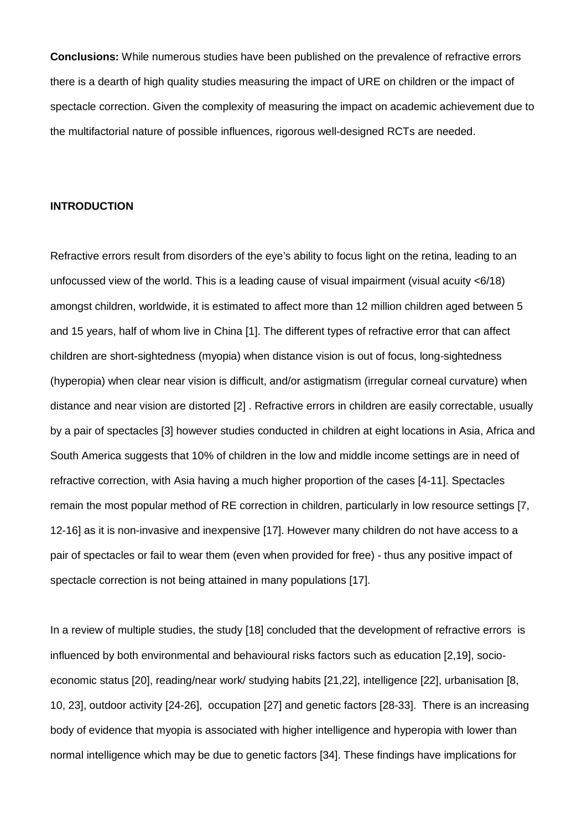**Conclusions:** While numerous studies have been published on the prevalence of refractive errors there is a dearth of high quality studies measuring the impact of URE on children or the impact of spectacle correction. Given the complexity of measuring the impact on academic achievement due to the multifactorial nature of possible influences, rigorous well-designed RCTs are needed.

#### **INTRODUCTION**

Refractive errors result from disorders of the eye's ability to focus light on the retina, leading to an unfocussed view of the world. This is a leading cause of visual impairment (visual acuity <6/18) amongst children, worldwide, it is estimated to affect more than 12 million children aged between 5 and 15 years, half of whom live in China [1]. The different types of refractive error that can affect children are short-sightedness (myopia) when distance vision is out of focus, long-sightedness (hyperopia) when clear near vision is difficult, and/or astigmatism (irregular corneal curvature) when distance and near vision are distorted [2] . Refractive errors in children are easily correctable, usually by a pair of spectacles [3] however studies conducted in children at eight locations in Asia, Africa and South America suggests that 10% of children in the low and middle income settings are in need of refractive correction, with Asia having a much higher proportion of the cases [4-11]. Spectacles remain the most popular method of RE correction in children, particularly in low resource settings [7, 12-16] as it is non-invasive and inexpensive [17]. However many children do not have access to a pair of spectacles or fail to wear them (even when provided for free) - thus any positive impact of spectacle correction is not being attained in many populations [17].

In a review of multiple studies, the study [18] concluded that the development of refractive errors is influenced by both environmental and behavioural risks factors such as education [2,19], socioeconomic status [20], reading/near work/ studying habits [21,22], intelligence [22], urbanisation [8, 10, 23], outdoor activity [24-26], occupation [27] and genetic factors [28-33]. There is an increasing body of evidence that myopia is associated with higher intelligence and hyperopia with lower than normal intelligence which may be due to genetic factors [34]. These findings have implications for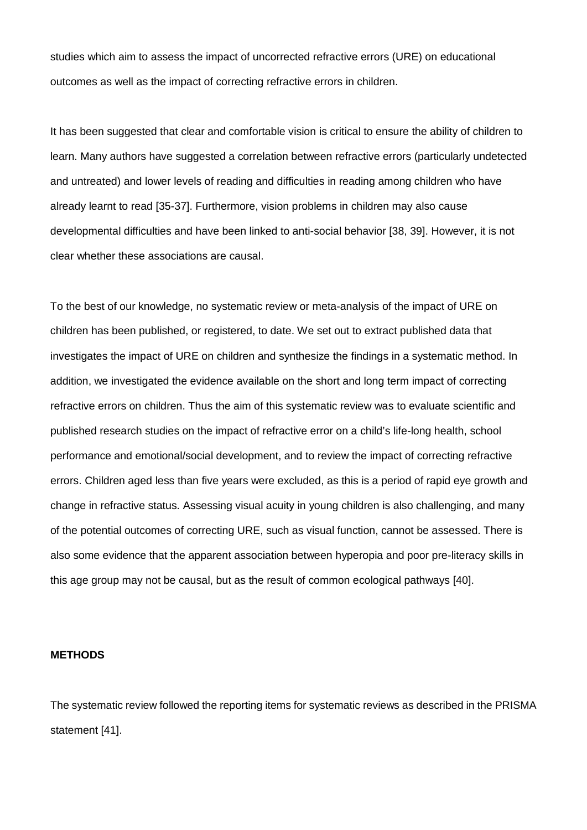studies which aim to assess the impact of uncorrected refractive errors (URE) on educational outcomes as well as the impact of correcting refractive errors in children.

It has been suggested that clear and comfortable vision is critical to ensure the ability of children to learn. Many authors have suggested a correlation between refractive errors (particularly undetected and untreated) and lower levels of reading and difficulties in reading among children who have already learnt to read [35-37]. Furthermore, vision problems in children may also cause developmental difficulties and have been linked to anti-social behavior [38, 39]. However, it is not clear whether these associations are causal.

To the best of our knowledge, no systematic review or meta-analysis of the impact of URE on children has been published, or registered, to date. We set out to extract published data that investigates the impact of URE on children and synthesize the findings in a systematic method. In addition, we investigated the evidence available on the short and long term impact of correcting refractive errors on children. Thus the aim of this systematic review was to evaluate scientific and published research studies on the impact of refractive error on a child's life-long health, school performance and emotional/social development, and to review the impact of correcting refractive errors. Children aged less than five years were excluded, as this is a period of rapid eye growth and change in refractive status. Assessing visual acuity in young children is also challenging, and many of the potential outcomes of correcting URE, such as visual function, cannot be assessed. There is also some evidence that the apparent association between hyperopia and poor pre-literacy skills in this age group may not be causal, but as the result of common ecological pathways [40].

## **METHODS**

The systematic review followed the reporting items for systematic reviews as described in the PRISMA statement [41].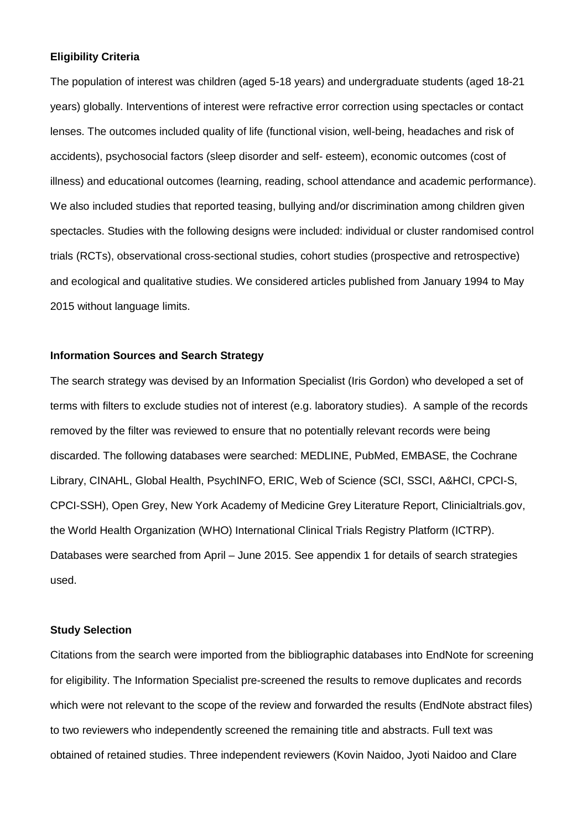### **Eligibility Criteria**

The population of interest was children (aged 5-18 years) and undergraduate students (aged 18-21 years) globally. Interventions of interest were refractive error correction using spectacles or contact lenses. The outcomes included quality of life (functional vision, well-being, headaches and risk of accidents), psychosocial factors (sleep disorder and self- esteem), economic outcomes (cost of illness) and educational outcomes (learning, reading, school attendance and academic performance). We also included studies that reported teasing, bullying and/or discrimination among children given spectacles. Studies with the following designs were included: individual or cluster randomised control trials (RCTs), observational cross-sectional studies, cohort studies (prospective and retrospective) and ecological and qualitative studies. We considered articles published from January 1994 to May 2015 without language limits.

## **Information Sources and Search Strategy**

The search strategy was devised by an Information Specialist (Iris Gordon) who developed a set of terms with filters to exclude studies not of interest (e.g. laboratory studies). A sample of the records removed by the filter was reviewed to ensure that no potentially relevant records were being discarded. The following databases were searched: MEDLINE, PubMed, EMBASE, the Cochrane Library, CINAHL, Global Health, PsychINFO, ERIC, Web of Science (SCI, SSCI, A&HCI, CPCI-S, CPCI-SSH), Open Grey, New York Academy of Medicine Grey Literature Report, Clinicialtrials.gov, the World Health Organization (WHO) International Clinical Trials Registry Platform (ICTRP). Databases were searched from April – June 2015. See appendix 1 for details of search strategies used.

## **Study Selection**

Citations from the search were imported from the bibliographic databases into EndNote for screening for eligibility. The Information Specialist pre-screened the results to remove duplicates and records which were not relevant to the scope of the review and forwarded the results (EndNote abstract files) to two reviewers who independently screened the remaining title and abstracts. Full text was obtained of retained studies. Three independent reviewers (Kovin Naidoo, Jyoti Naidoo and Clare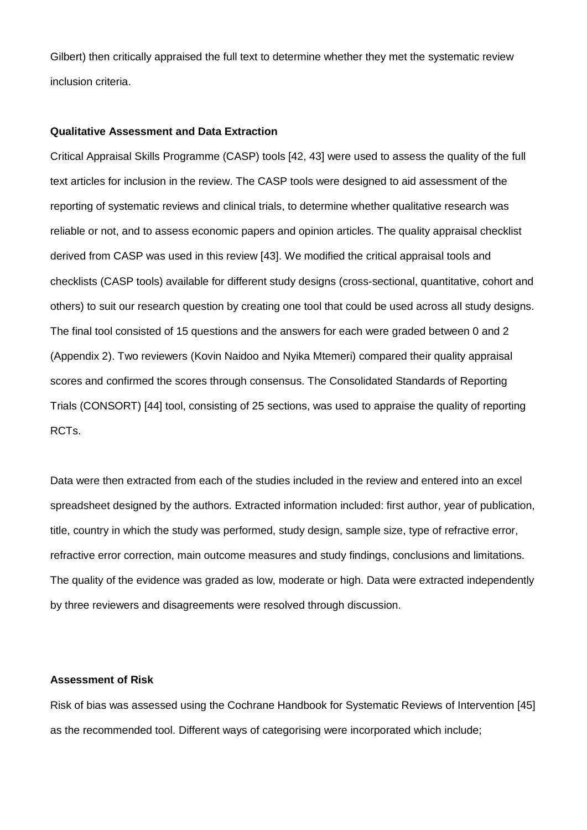Gilbert) then critically appraised the full text to determine whether they met the systematic review inclusion criteria.

#### **Qualitative Assessment and Data Extraction**

Critical Appraisal Skills Programme (CASP) tools [42, 43] were used to assess the quality of the full text articles for inclusion in the review. The CASP tools were designed to aid assessment of the reporting of systematic reviews and clinical trials, to determine whether qualitative research was reliable or not, and to assess economic papers and opinion articles. The quality appraisal checklist derived from CASP was used in this review [43]. We modified the critical appraisal tools and checklists (CASP tools) available for different study designs (cross-sectional, quantitative, cohort and others) to suit our research question by creating one tool that could be used across all study designs. The final tool consisted of 15 questions and the answers for each were graded between 0 and 2 (Appendix 2). Two reviewers (Kovin Naidoo and Nyika Mtemeri) compared their quality appraisal scores and confirmed the scores through consensus. The Consolidated Standards of Reporting Trials (CONSORT) [44] tool, consisting of 25 sections, was used to appraise the quality of reporting RCTs.

Data were then extracted from each of the studies included in the review and entered into an excel spreadsheet designed by the authors. Extracted information included: first author, year of publication, title, country in which the study was performed, study design, sample size, type of refractive error, refractive error correction, main outcome measures and study findings, conclusions and limitations. The quality of the evidence was graded as low, moderate or high. Data were extracted independently by three reviewers and disagreements were resolved through discussion.

## **Assessment of Risk**

Risk of bias was assessed using the Cochrane Handbook for Systematic Reviews of Intervention [45] as the recommended tool. Different ways of categorising were incorporated which include;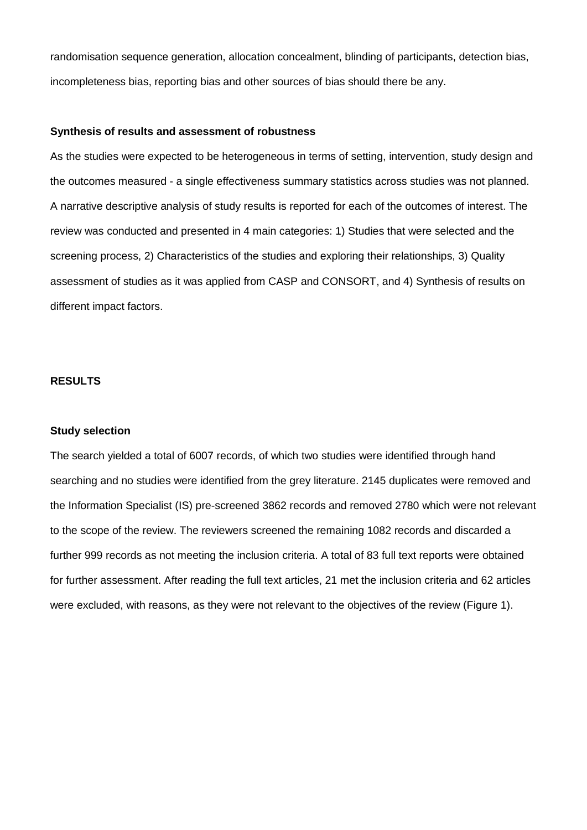randomisation sequence generation, allocation concealment, blinding of participants, detection bias, incompleteness bias, reporting bias and other sources of bias should there be any.

#### **Synthesis of results and assessment of robustness**

As the studies were expected to be heterogeneous in terms of setting, intervention, study design and the outcomes measured - a single effectiveness summary statistics across studies was not planned. A narrative descriptive analysis of study results is reported for each of the outcomes of interest. The review was conducted and presented in 4 main categories: 1) Studies that were selected and the screening process, 2) Characteristics of the studies and exploring their relationships, 3) Quality assessment of studies as it was applied from CASP and CONSORT, and 4) Synthesis of results on different impact factors.

## **RESULTS**

#### **Study selection**

The search yielded a total of 6007 records, of which two studies were identified through hand searching and no studies were identified from the grey literature. 2145 duplicates were removed and the Information Specialist (IS) pre-screened 3862 records and removed 2780 which were not relevant to the scope of the review. The reviewers screened the remaining 1082 records and discarded a further 999 records as not meeting the inclusion criteria. A total of 83 full text reports were obtained for further assessment. After reading the full text articles, 21 met the inclusion criteria and 62 articles were excluded, with reasons, as they were not relevant to the objectives of the review (Figure 1).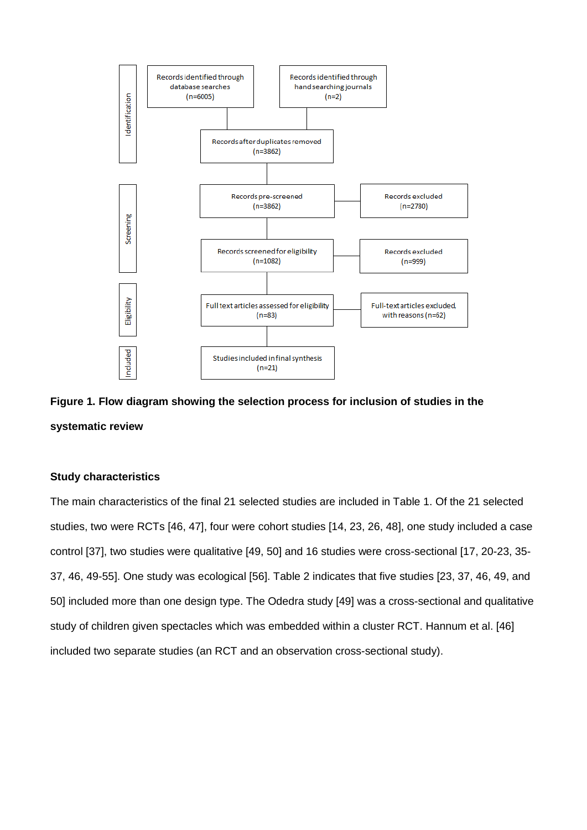

**Figure 1. Flow diagram showing the selection process for inclusion of studies in the systematic review**

## **Study characteristics**

The main characteristics of the final 21 selected studies are included in Table 1. Of the 21 selected studies, two were RCTs [46, 47], four were cohort studies [14, 23, 26, 48], one study included a case control [37], two studies were qualitative [49, 50] and 16 studies were cross-sectional [17, 20-23, 35- 37, 46, 49-55]. One study was ecological [56]. Table 2 indicates that five studies [23, 37, 46, 49, and 50] included more than one design type. The Odedra study [49] was a cross-sectional and qualitative study of children given spectacles which was embedded within a cluster RCT. Hannum et al. [46] included two separate studies (an RCT and an observation cross-sectional study).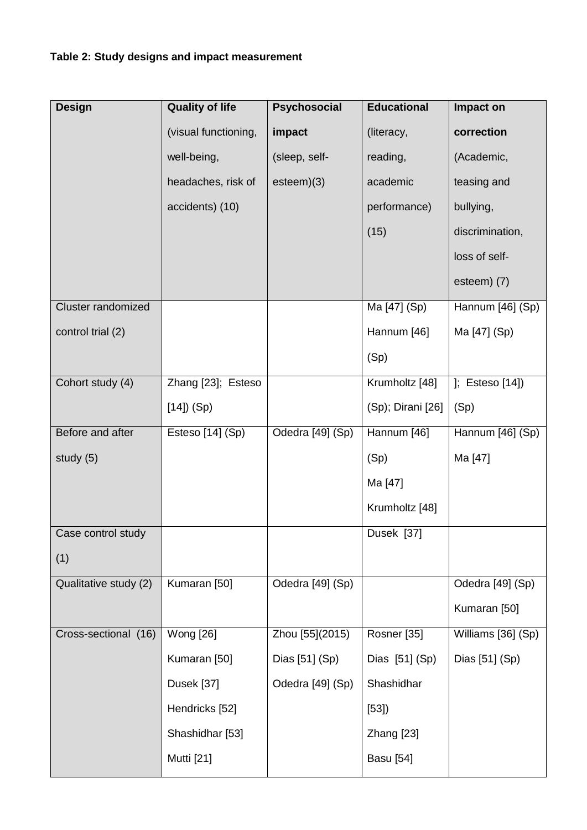| <b>Design</b>             | <b>Quality of life</b> | <b>Psychosocial</b> | <b>Educational</b> | Impact on          |
|---------------------------|------------------------|---------------------|--------------------|--------------------|
|                           | (visual functioning,   | impact              | (literacy,         | correction         |
|                           | well-being,            | (sleep, self-       | reading,           | (Academic,         |
|                           | headaches, risk of     | esteem)(3)          | academic           | teasing and        |
|                           | accidents) (10)        |                     | performance)       | bullying,          |
|                           |                        |                     | (15)               | discrimination,    |
|                           |                        |                     |                    | loss of self-      |
|                           |                        |                     |                    | esteem) (7)        |
| <b>Cluster randomized</b> |                        |                     | Ma [47] (Sp)       | Hannum [46] (Sp)   |
| control trial (2)         |                        |                     | Hannum [46]        | Ma [47] (Sp)       |
|                           |                        |                     | (Sp)               |                    |
| Cohort study (4)          | Zhang [23]; Esteso     |                     | Krumholtz [48]     | ]; $Esteso[14]$    |
|                           | $[14]$ ) (Sp)          |                     | (Sp); Dirani [26]  | (Sp)               |
| Before and after          | Esteso [14] (Sp)       | Odedra [49] (Sp)    | Hannum [46]        | Hannum [46] (Sp)   |
| study (5)                 |                        |                     | (Sp)               | Ma [47]            |
|                           |                        |                     | Ma [47]            |                    |
|                           |                        |                     | Krumholtz [48]     |                    |
| Case control study        |                        |                     | Dusek [37]         |                    |
| (1)                       |                        |                     |                    |                    |
| Qualitative study (2)     | Kumaran [50]           | Odedra [49] (Sp)    |                    | Odedra [49] (Sp)   |
|                           |                        |                     |                    | Kumaran [50]       |
| Cross-sectional (16)      | Wong [26]              | Zhou [55](2015)     | Rosner [35]        | Williams [36] (Sp) |
|                           | Kumaran [50]           | Dias [51] (Sp)      | Dias [51] (Sp)     | Dias [51] (Sp)     |
|                           | Dusek [37]             | Odedra [49] (Sp)    | Shashidhar         |                    |
|                           | Hendricks [52]         |                     | [53]               |                    |
|                           | Shashidhar [53]        |                     | Zhang [23]         |                    |
|                           | Mutti [21]             |                     | <b>Basu</b> [54]   |                    |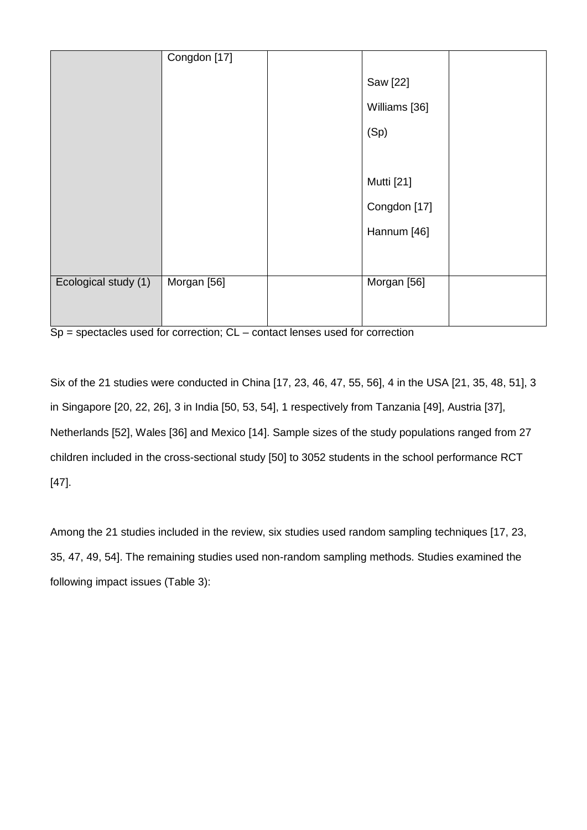|                      | Congdon [17] |               |  |
|----------------------|--------------|---------------|--|
|                      |              | Saw [22]      |  |
|                      |              | Williams [36] |  |
|                      |              | (Sp)          |  |
|                      |              |               |  |
|                      |              | Mutti [21]    |  |
|                      |              | Congdon [17]  |  |
|                      |              | Hannum [46]   |  |
|                      |              |               |  |
| Ecological study (1) | Morgan [56]  | Morgan [56]   |  |
|                      |              |               |  |
|                      |              |               |  |

 $Sp$  = spectacles used for correction;  $CL$  – contact lenses used for correction

Six of the 21 studies were conducted in China [17, 23, 46, 47, 55, 56], 4 in the USA [21, 35, 48, 51], 3 in Singapore [20, 22, 26], 3 in India [50, 53, 54], 1 respectively from Tanzania [49], Austria [37], Netherlands [52], Wales [36] and Mexico [14]. Sample sizes of the study populations ranged from 27 children included in the cross-sectional study [50] to 3052 students in the school performance RCT [47].

Among the 21 studies included in the review, six studies used random sampling techniques [17, 23, 35, 47, 49, 54]. The remaining studies used non-random sampling methods. Studies examined the following impact issues (Table 3):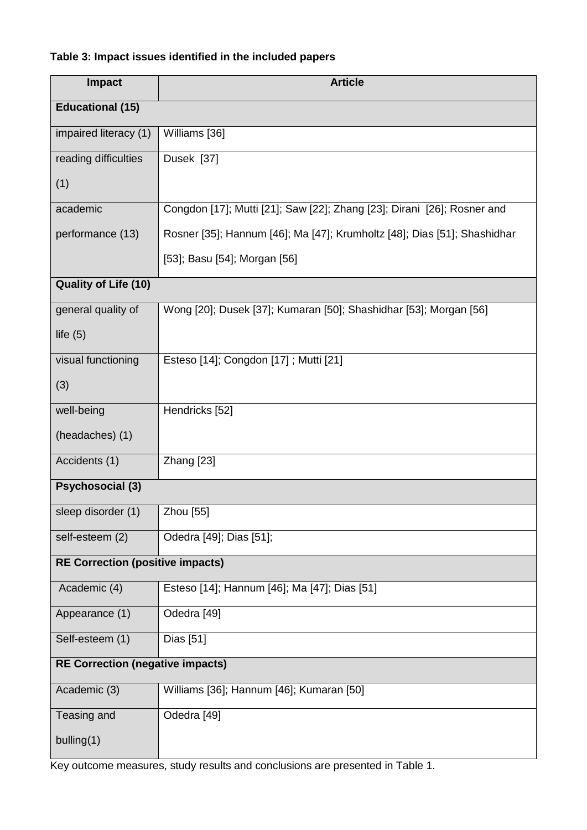# **Table 3: Impact issues identified in the included papers**

| <b>Impact</b>                           | <b>Article</b>                                                           |
|-----------------------------------------|--------------------------------------------------------------------------|
| <b>Educational (15)</b>                 |                                                                          |
| impaired literacy (1)                   | Williams [36]                                                            |
| reading difficulties                    | Dusek [37]                                                               |
| (1)                                     |                                                                          |
| academic                                | Congdon [17]; Mutti [21]; Saw [22]; Zhang [23]; Dirani [26]; Rosner and  |
| performance (13)                        | Rosner [35]; Hannum [46]; Ma [47]; Krumholtz [48]; Dias [51]; Shashidhar |
|                                         | [53]; Basu [54]; Morgan [56]                                             |
| <b>Quality of Life (10)</b>             |                                                                          |
| general quality of                      | Wong [20]; Dusek [37]; Kumaran [50]; Shashidhar [53]; Morgan [56]        |
| life $(5)$                              |                                                                          |
| visual functioning                      | Esteso [14]; Congdon [17]; Mutti [21]                                    |
| (3)                                     |                                                                          |
| well-being                              | Hendricks [52]                                                           |
| (headaches) (1)                         |                                                                          |
| Accidents (1)                           | Zhang [23]                                                               |
| <b>Psychosocial (3)</b>                 |                                                                          |
| sleep disorder (1)                      | Zhou [55]                                                                |
| self-esteem (2)                         | Odedra [49]; Dias [51];                                                  |
| <b>RE Correction (positive impacts)</b> |                                                                          |
| Academic (4)                            | Esteso [14]; Hannum [46]; Ma [47]; Dias [51]                             |
| Appearance (1)                          | Odedra [49]                                                              |
| Self-esteem (1)                         | Dias [51]                                                                |
| <b>RE Correction (negative impacts)</b> |                                                                          |
| Academic (3)                            | Williams [36]; Hannum [46]; Kumaran [50]                                 |
| Teasing and                             | Odedra [49]                                                              |
| bulling $(1)$                           |                                                                          |

Key outcome measures, study results and conclusions are presented in Table 1.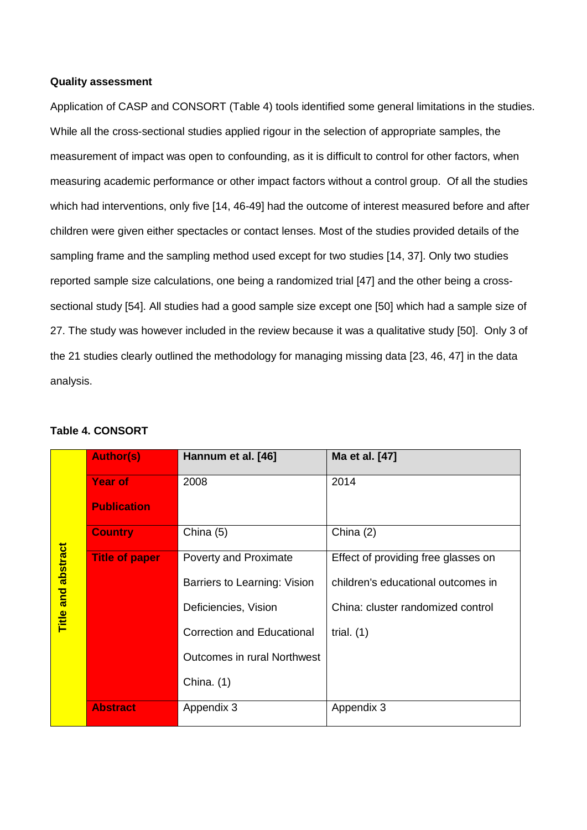## **Quality assessment**

Application of CASP and CONSORT (Table 4) tools identified some general limitations in the studies. While all the cross-sectional studies applied rigour in the selection of appropriate samples, the measurement of impact was open to confounding, as it is difficult to control for other factors, when measuring academic performance or other impact factors without a control group. Of all the studies which had interventions, only five [14, 46-49] had the outcome of interest measured before and after children were given either spectacles or contact lenses. Most of the studies provided details of the sampling frame and the sampling method used except for two studies [14, 37]. Only two studies reported sample size calculations, one being a randomized trial [47] and the other being a crosssectional study [54]. All studies had a good sample size except one [50] which had a sample size of 27. The study was however included in the review because it was a qualitative study [50]. Only 3 of the 21 studies clearly outlined the methodology for managing missing data [23, 46, 47] in the data analysis.

|                           | <b>Author(s)</b>      | Hannum et al. [46]                 | Ma et al. [47]                      |
|---------------------------|-----------------------|------------------------------------|-------------------------------------|
|                           | <b>Year of</b>        | 2008                               | 2014                                |
|                           | <b>Publication</b>    |                                    |                                     |
|                           | <b>Country</b>        | China (5)                          | China $(2)$                         |
|                           | <b>Title of paper</b> | Poverty and Proximate              | Effect of providing free glasses on |
|                           |                       | Barriers to Learning: Vision       | children's educational outcomes in  |
| <b>Title and abstract</b> |                       | Deficiencies, Vision               | China: cluster randomized control   |
|                           |                       | <b>Correction and Educational</b>  | trial. $(1)$                        |
|                           |                       | <b>Outcomes in rural Northwest</b> |                                     |
|                           |                       | China. $(1)$                       |                                     |
|                           | <b>Abstract</b>       | Appendix 3                         | Appendix 3                          |

## **Table 4. CONSORT**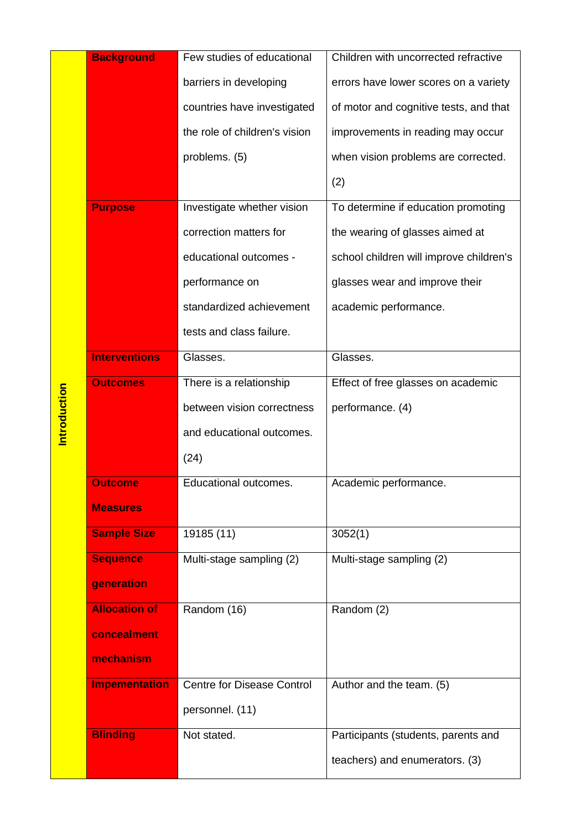|                      | <b>Background</b>    | Few studies of educational    | Children with uncorrected refractive    |  |
|----------------------|----------------------|-------------------------------|-----------------------------------------|--|
|                      |                      | barriers in developing        | errors have lower scores on a variety   |  |
|                      |                      | countries have investigated   | of motor and cognitive tests, and that  |  |
|                      |                      | the role of children's vision | improvements in reading may occur       |  |
|                      |                      | problems. (5)                 | when vision problems are corrected.     |  |
|                      |                      |                               | (2)                                     |  |
|                      | <b>Purpose</b>       | Investigate whether vision    | To determine if education promoting     |  |
|                      |                      | correction matters for        | the wearing of glasses aimed at         |  |
|                      |                      | educational outcomes -        | school children will improve children's |  |
|                      |                      | performance on                | glasses wear and improve their          |  |
|                      |                      | standardized achievement      | academic performance.                   |  |
|                      |                      | tests and class failure.      |                                         |  |
|                      | <b>Interventions</b> | Glasses.                      | Glasses.                                |  |
|                      | <b>Outcomes</b>      | There is a relationship       | Effect of free glasses on academic      |  |
|                      |                      | between vision correctness    | performance. (4)                        |  |
|                      |                      | and educational outcomes.     |                                         |  |
|                      |                      | (24)                          |                                         |  |
|                      | <b>Outcome</b>       | Educational outcomes.         | Academic performance.                   |  |
|                      | <b>Measures</b>      |                               |                                         |  |
|                      | <b>Sample Size</b>   | 19185 (11)                    | 3052(1)                                 |  |
|                      | <b>Sequence</b>      | Multi-stage sampling (2)      | Multi-stage sampling (2)                |  |
|                      | generation           |                               |                                         |  |
|                      | <b>Allocation of</b> | Random (16)                   | Random (2)                              |  |
|                      | concealment          |                               |                                         |  |
|                      | mechanism            |                               |                                         |  |
| <b>Impementation</b> |                      | Centre for Disease Control    | Author and the team. (5)                |  |
|                      |                      | personnel. (11)               |                                         |  |
|                      | <b>Blinding</b>      | Not stated.                   | Participants (students, parents and     |  |
|                      |                      |                               | teachers) and enumerators. (3)          |  |

Introduction **Introduction**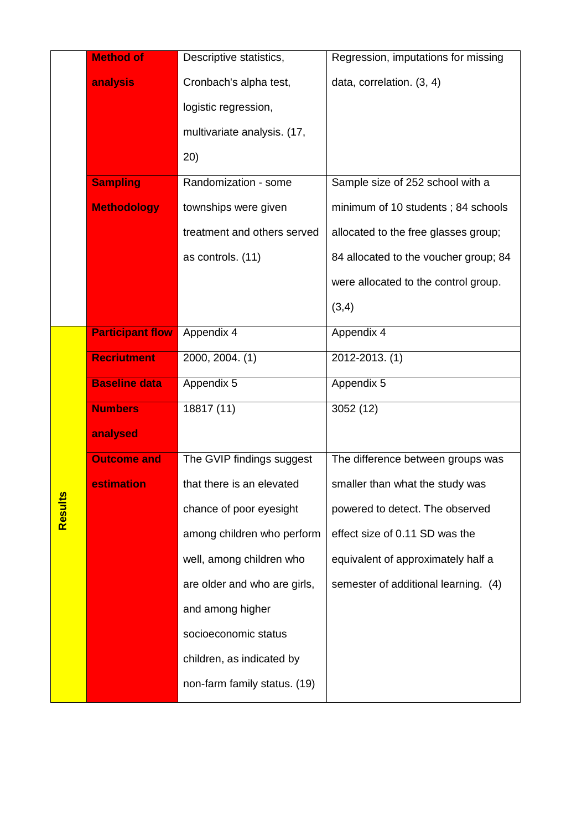|         | <b>Method of</b>        | Descriptive statistics,      | Regression, imputations for missing   |
|---------|-------------------------|------------------------------|---------------------------------------|
|         | analysis                | Cronbach's alpha test,       | data, correlation. (3, 4)             |
|         |                         | logistic regression,         |                                       |
|         |                         | multivariate analysis. (17,  |                                       |
|         |                         | 20)                          |                                       |
|         | <b>Sampling</b>         | Randomization - some         | Sample size of 252 school with a      |
|         | <b>Methodology</b>      | townships were given         | minimum of 10 students; 84 schools    |
|         |                         | treatment and others served  | allocated to the free glasses group;  |
|         |                         | as controls. (11)            | 84 allocated to the voucher group; 84 |
|         |                         |                              | were allocated to the control group.  |
|         |                         |                              | (3,4)                                 |
|         | <b>Participant flow</b> | Appendix 4                   | Appendix 4                            |
|         | <b>Recriutment</b>      | 2000, 2004. (1)              | 2012-2013. (1)                        |
|         | <b>Baseline data</b>    | Appendix 5                   | Appendix 5                            |
|         | <b>Numbers</b>          | 18817 (11)                   | 3052 (12)                             |
|         | analysed                |                              |                                       |
|         | <b>Outcome and</b>      | The GVIP findings suggest    | The difference between groups was     |
|         | estimation              | that there is an elevated    | smaller than what the study was       |
| Results |                         | chance of poor eyesight      | powered to detect. The observed       |
|         |                         | among children who perform   | effect size of 0.11 SD was the        |
|         |                         | well, among children who     | equivalent of approximately half a    |
|         |                         | are older and who are girls, | semester of additional learning. (4)  |
|         |                         | and among higher             |                                       |
|         |                         | socioeconomic status         |                                       |
|         |                         | children, as indicated by    |                                       |
|         |                         | non-farm family status. (19) |                                       |
|         |                         |                              |                                       |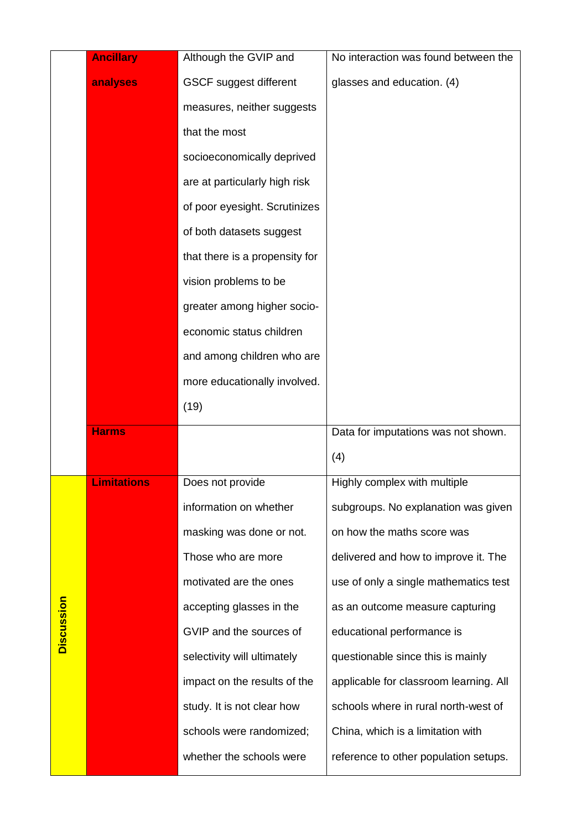|            | <b>Ancillary</b>   | Although the GVIP and          | No interaction was found between the   |
|------------|--------------------|--------------------------------|----------------------------------------|
|            | analyses           | <b>GSCF suggest different</b>  | glasses and education. (4)             |
|            |                    | measures, neither suggests     |                                        |
|            |                    | that the most                  |                                        |
|            |                    | socioeconomically deprived     |                                        |
|            |                    | are at particularly high risk  |                                        |
|            |                    | of poor eyesight. Scrutinizes  |                                        |
|            |                    | of both datasets suggest       |                                        |
|            |                    | that there is a propensity for |                                        |
|            |                    | vision problems to be          |                                        |
|            |                    | greater among higher socio-    |                                        |
|            |                    | economic status children       |                                        |
|            |                    | and among children who are     |                                        |
|            |                    | more educationally involved.   |                                        |
|            |                    | (19)                           |                                        |
|            |                    |                                |                                        |
|            | <b>Harms</b>       |                                | Data for imputations was not shown.    |
|            |                    |                                | (4)                                    |
|            | <b>Limitations</b> | Does not provide               | Highly complex with multiple           |
|            |                    | information on whether         | subgroups. No explanation was given    |
|            |                    | masking was done or not.       | on how the maths score was             |
|            |                    | Those who are more             | delivered and how to improve it. The   |
|            |                    | motivated are the ones         | use of only a single mathematics test  |
|            |                    | accepting glasses in the       | as an outcome measure capturing        |
|            |                    | GVIP and the sources of        | educational performance is             |
| Discussion |                    | selectivity will ultimately    | questionable since this is mainly      |
|            |                    | impact on the results of the   | applicable for classroom learning. All |
|            |                    | study. It is not clear how     | schools where in rural north-west of   |
|            |                    | schools were randomized;       | China, which is a limitation with      |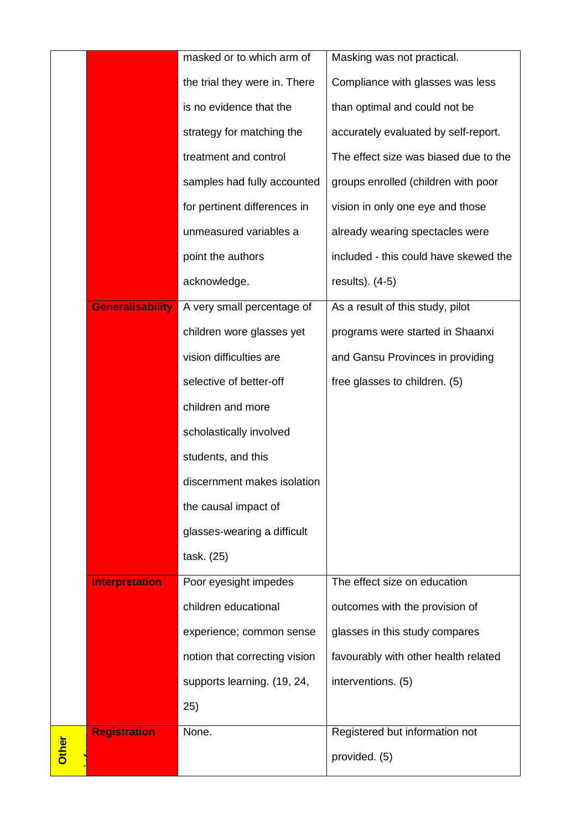|              |                       | masked or to which arm of     | Masking was not practical.            |
|--------------|-----------------------|-------------------------------|---------------------------------------|
|              |                       | the trial they were in. There | Compliance with glasses was less      |
|              |                       | is no evidence that the       | than optimal and could not be         |
|              |                       | strategy for matching the     | accurately evaluated by self-report.  |
|              |                       | treatment and control         | The effect size was biased due to the |
|              |                       | samples had fully accounted   | groups enrolled (children with poor   |
|              |                       | for pertinent differences in  | vision in only one eye and those      |
|              |                       | unmeasured variables a        | already wearing spectacles were       |
|              |                       | point the authors             | included - this could have skewed the |
|              |                       | acknowledge.                  | results). $(4-5)$                     |
|              | Generalisability      | A very small percentage of    | As a result of this study, pilot      |
|              |                       | children wore glasses yet     | programs were started in Shaanxi      |
|              |                       | vision difficulties are       | and Gansu Provinces in providing      |
|              |                       | selective of better-off       | free glasses to children. (5)         |
|              |                       | children and more             |                                       |
|              |                       | scholastically involved       |                                       |
|              |                       | students, and this            |                                       |
|              |                       | discernment makes isolation   |                                       |
|              |                       | the causal impact of          |                                       |
|              |                       | glasses-wearing a difficult   |                                       |
|              |                       | task. (25)                    |                                       |
|              | <b>Interpretation</b> | Poor eyesight impedes         | The effect size on education          |
|              |                       | children educational          | outcomes with the provision of        |
|              |                       | experience; common sense      | glasses in this study compares        |
|              |                       | notion that correcting vision | favourably with other health related  |
|              |                       | supports learning. (19, 24,   | interventions. (5)                    |
|              |                       | 25)                           |                                       |
|              | <b>Registration</b>   | None.                         | Registered but information not        |
| <b>Other</b> |                       |                               | provided. (5)                         |
|              |                       |                               |                                       |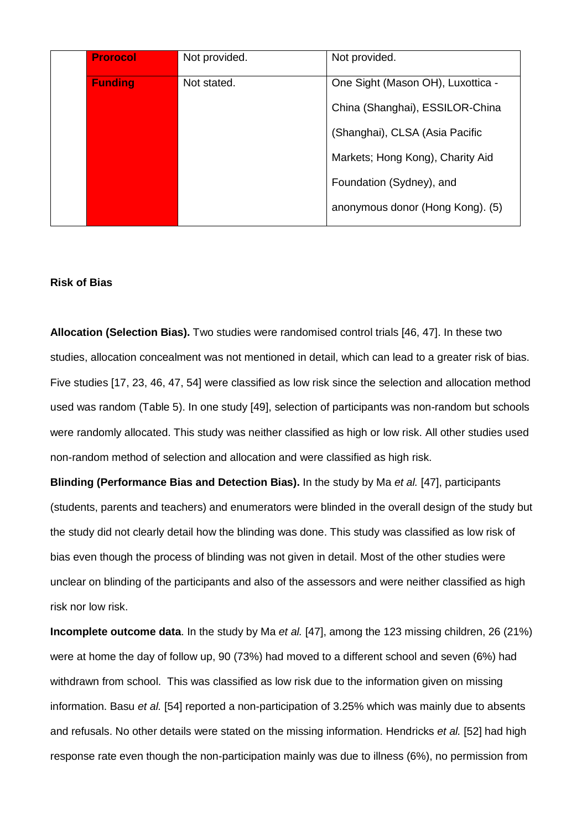| <b>Prorocol</b> | Not provided. | Not provided.                     |
|-----------------|---------------|-----------------------------------|
| <b>Funding</b>  | Not stated.   | One Sight (Mason OH), Luxottica - |
|                 |               | China (Shanghai), ESSILOR-China   |
|                 |               | (Shanghai), CLSA (Asia Pacific    |
|                 |               | Markets; Hong Kong), Charity Aid  |
|                 |               | Foundation (Sydney), and          |
|                 |               | anonymous donor (Hong Kong). (5)  |

#### **Risk of Bias**

**Allocation (Selection Bias).** Two studies were randomised control trials [46, 47]. In these two studies, allocation concealment was not mentioned in detail, which can lead to a greater risk of bias. Five studies [17, 23, 46, 47, 54] were classified as low risk since the selection and allocation method used was random (Table 5). In one study [49], selection of participants was non-random but schools were randomly allocated. This study was neither classified as high or low risk. All other studies used non-random method of selection and allocation and were classified as high risk.

**Blinding (Performance Bias and Detection Bias).** In the study by Ma *et al.* [47], participants (students, parents and teachers) and enumerators were blinded in the overall design of the study but the study did not clearly detail how the blinding was done. This study was classified as low risk of bias even though the process of blinding was not given in detail. Most of the other studies were unclear on blinding of the participants and also of the assessors and were neither classified as high risk nor low risk.

**Incomplete outcome data**. In the study by Ma *et al.* [47], among the 123 missing children, 26 (21%) were at home the day of follow up, 90 (73%) had moved to a different school and seven (6%) had withdrawn from school. This was classified as low risk due to the information given on missing information. Basu *et al.* [54] reported a non-participation of 3.25% which was mainly due to absents and refusals. No other details were stated on the missing information. Hendricks *et al.* [52] had high response rate even though the non-participation mainly was due to illness (6%), no permission from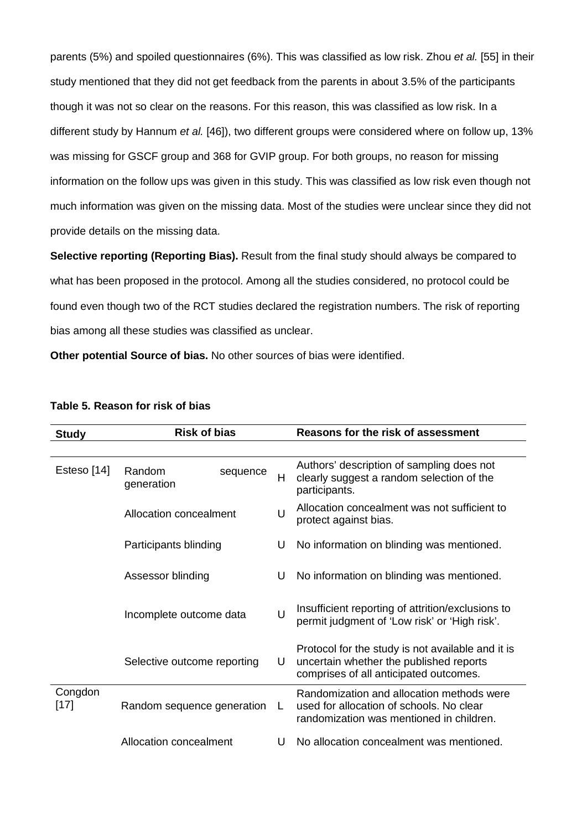parents (5%) and spoiled questionnaires (6%). This was classified as low risk. Zhou *et al.* [55] in their study mentioned that they did not get feedback from the parents in about 3.5% of the participants though it was not so clear on the reasons. For this reason, this was classified as low risk. In a different study by Hannum *et al.* [46]), two different groups were considered where on follow up, 13% was missing for GSCF group and 368 for GVIP group. For both groups, no reason for missing information on the follow ups was given in this study. This was classified as low risk even though not much information was given on the missing data. Most of the studies were unclear since they did not provide details on the missing data.

**Selective reporting (Reporting Bias).** Result from the final study should always be compared to what has been proposed in the protocol. Among all the studies considered, no protocol could be found even though two of the RCT studies declared the registration numbers. The risk of reporting bias among all these studies was classified as unclear.

**Other potential Source of bias.** No other sources of bias were identified.

| <b>Study</b>      | <b>Risk of bias</b>         |          |        | Reasons for the risk of assessment                                                                                                     |
|-------------------|-----------------------------|----------|--------|----------------------------------------------------------------------------------------------------------------------------------------|
|                   |                             |          |        |                                                                                                                                        |
| Esteso [14]       | Random<br>generation        | sequence | Н      | Authors' description of sampling does not<br>clearly suggest a random selection of the<br>participants.                                |
|                   | Allocation concealment      |          | U      | Allocation concealment was not sufficient to<br>protect against bias.                                                                  |
|                   | Participants blinding       |          | U      | No information on blinding was mentioned.                                                                                              |
|                   | Assessor blinding           |          | U      | No information on blinding was mentioned.                                                                                              |
|                   | Incomplete outcome data     |          | $\cup$ | Insufficient reporting of attrition/exclusions to<br>permit judgment of 'Low risk' or 'High risk'.                                     |
|                   | Selective outcome reporting |          | U      | Protocol for the study is not available and it is<br>uncertain whether the published reports<br>comprises of all anticipated outcomes. |
| Congdon<br>$[17]$ | Random sequence generation  |          |        | Randomization and allocation methods were<br>used for allocation of schools. No clear<br>randomization was mentioned in children.      |
|                   | Allocation concealment      |          | U      | No allocation concealment was mentioned.                                                                                               |

## **Table 5. Reason for risk of bias**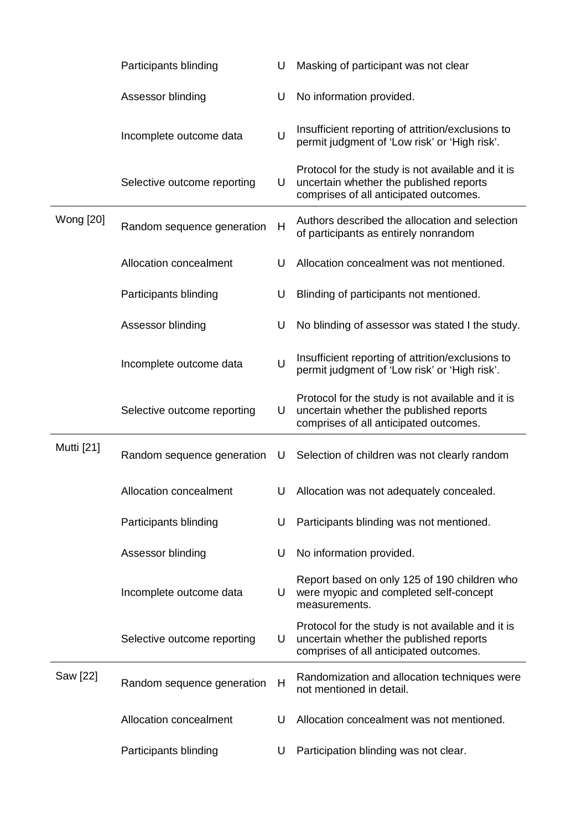|            | Participants blinding       | U      | Masking of participant was not clear                                                                                                   |
|------------|-----------------------------|--------|----------------------------------------------------------------------------------------------------------------------------------------|
|            | Assessor blinding           | U      | No information provided.                                                                                                               |
|            | Incomplete outcome data     | U      | Insufficient reporting of attrition/exclusions to<br>permit judgment of 'Low risk' or 'High risk'.                                     |
|            | Selective outcome reporting | U      | Protocol for the study is not available and it is<br>uncertain whether the published reports<br>comprises of all anticipated outcomes. |
| Wong [20]  | Random sequence generation  | Н      | Authors described the allocation and selection<br>of participants as entirely nonrandom                                                |
|            | Allocation concealment      | U      | Allocation concealment was not mentioned.                                                                                              |
|            | Participants blinding       | U      | Blinding of participants not mentioned.                                                                                                |
|            | Assessor blinding           | U      | No blinding of assessor was stated I the study.                                                                                        |
|            | Incomplete outcome data     | $\cup$ | Insufficient reporting of attrition/exclusions to<br>permit judgment of 'Low risk' or 'High risk'.                                     |
|            | Selective outcome reporting | U      | Protocol for the study is not available and it is<br>uncertain whether the published reports<br>comprises of all anticipated outcomes. |
| Mutti [21] | Random sequence generation  | U      | Selection of children was not clearly random                                                                                           |
|            | Allocation concealment      | U      | Allocation was not adequately concealed.                                                                                               |
|            | Participants blinding       | U      | Participants blinding was not mentioned.                                                                                               |
|            | Assessor blinding           | U      | No information provided.                                                                                                               |
|            | Incomplete outcome data     | U      | Report based on only 125 of 190 children who<br>were myopic and completed self-concept<br>measurements.                                |
|            | Selective outcome reporting | U      | Protocol for the study is not available and it is<br>uncertain whether the published reports<br>comprises of all anticipated outcomes. |
| Saw [22]   | Random sequence generation  | H      | Randomization and allocation techniques were<br>not mentioned in detail.                                                               |
|            | Allocation concealment      | U      | Allocation concealment was not mentioned.                                                                                              |
|            | Participants blinding       | U      | Participation blinding was not clear.                                                                                                  |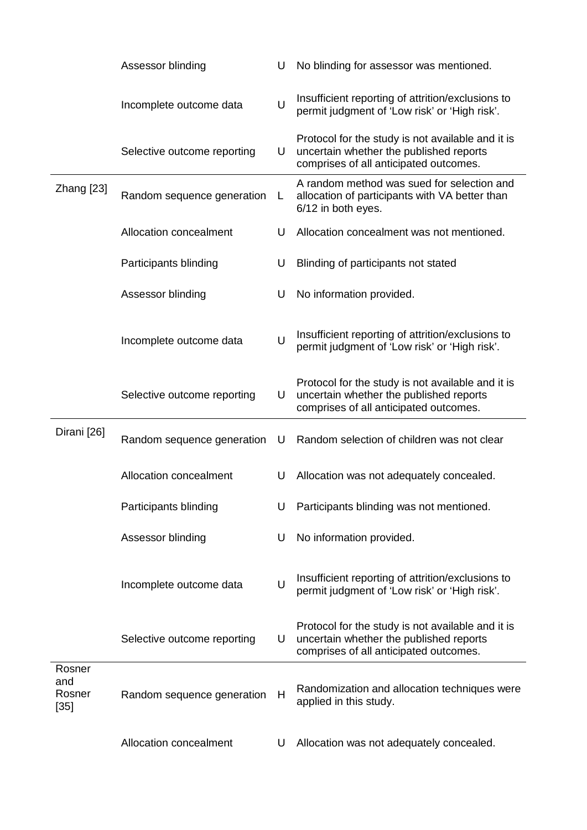|                                   | Assessor blinding           | U | No blinding for assessor was mentioned.                                                                                                |
|-----------------------------------|-----------------------------|---|----------------------------------------------------------------------------------------------------------------------------------------|
|                                   | Incomplete outcome data     | U | Insufficient reporting of attrition/exclusions to<br>permit judgment of 'Low risk' or 'High risk'.                                     |
|                                   | Selective outcome reporting | U | Protocol for the study is not available and it is<br>uncertain whether the published reports<br>comprises of all anticipated outcomes. |
| Zhang [23]                        | Random sequence generation  | L | A random method was sued for selection and<br>allocation of participants with VA better than<br>6/12 in both eyes.                     |
|                                   | Allocation concealment      | U | Allocation concealment was not mentioned.                                                                                              |
|                                   | Participants blinding       | U | Blinding of participants not stated                                                                                                    |
|                                   | Assessor blinding           | U | No information provided.                                                                                                               |
|                                   | Incomplete outcome data     | U | Insufficient reporting of attrition/exclusions to<br>permit judgment of 'Low risk' or 'High risk'.                                     |
|                                   | Selective outcome reporting | U | Protocol for the study is not available and it is<br>uncertain whether the published reports<br>comprises of all anticipated outcomes. |
| Dirani [26]                       | Random sequence generation  | U | Random selection of children was not clear                                                                                             |
|                                   | Allocation concealment      | U | Allocation was not adequately concealed.                                                                                               |
|                                   | Participants blinding       | U | Participants blinding was not mentioned.                                                                                               |
|                                   | Assessor blinding           | U | No information provided.                                                                                                               |
|                                   | Incomplete outcome data     | U | Insufficient reporting of attrition/exclusions to<br>permit judgment of 'Low risk' or 'High risk'.                                     |
|                                   | Selective outcome reporting | U | Protocol for the study is not available and it is<br>uncertain whether the published reports<br>comprises of all anticipated outcomes. |
| Rosner<br>and<br>Rosner<br>$[35]$ | Random sequence generation  | H | Randomization and allocation techniques were<br>applied in this study.                                                                 |
|                                   | Allocation concealment      | U | Allocation was not adequately concealed.                                                                                               |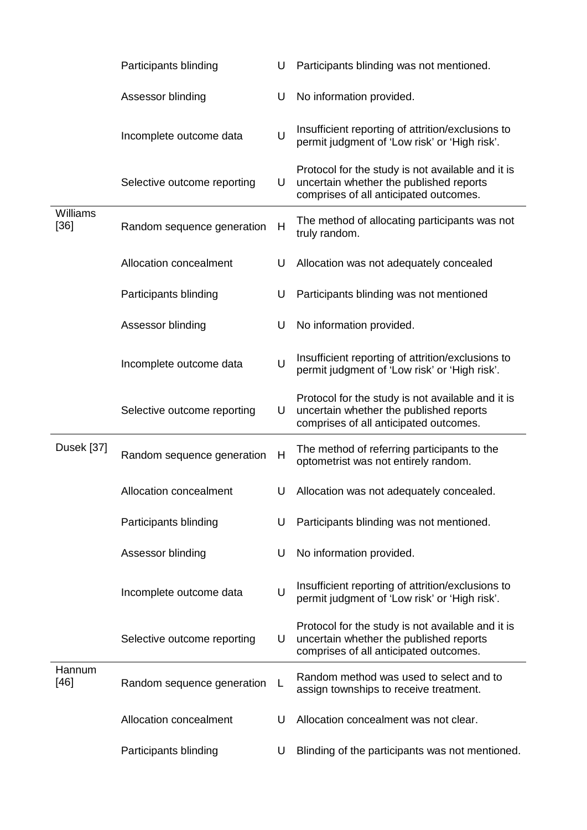|                  | Participants blinding         | U      | Participants blinding was not mentioned.                                                                                               |
|------------------|-------------------------------|--------|----------------------------------------------------------------------------------------------------------------------------------------|
|                  | Assessor blinding             | U      | No information provided.                                                                                                               |
|                  | Incomplete outcome data       | U      | Insufficient reporting of attrition/exclusions to<br>permit judgment of 'Low risk' or 'High risk'.                                     |
|                  | Selective outcome reporting   | U      | Protocol for the study is not available and it is<br>uncertain whether the published reports<br>comprises of all anticipated outcomes. |
| Williams<br>[36] | Random sequence generation    | Н      | The method of allocating participants was not<br>truly random.                                                                         |
|                  | <b>Allocation concealment</b> | U      | Allocation was not adequately concealed                                                                                                |
|                  | Participants blinding         | U      | Participants blinding was not mentioned                                                                                                |
|                  | Assessor blinding             | U      | No information provided.                                                                                                               |
|                  | Incomplete outcome data       | U      | Insufficient reporting of attrition/exclusions to<br>permit judgment of 'Low risk' or 'High risk'.                                     |
|                  | Selective outcome reporting   | U      | Protocol for the study is not available and it is<br>uncertain whether the published reports<br>comprises of all anticipated outcomes. |
| Dusek [37]       | Random sequence generation    | H      | The method of referring participants to the<br>optometrist was not entirely random.                                                    |
|                  | <b>Allocation concealment</b> | U      | Allocation was not adequately concealed.                                                                                               |
|                  | Participants blinding         | U      | Participants blinding was not mentioned.                                                                                               |
|                  | Assessor blinding             | U      | No information provided.                                                                                                               |
|                  | Incomplete outcome data       | $\cup$ | Insufficient reporting of attrition/exclusions to<br>permit judgment of 'Low risk' or 'High risk'.                                     |
|                  | Selective outcome reporting   | U      | Protocol for the study is not available and it is<br>uncertain whether the published reports<br>comprises of all anticipated outcomes. |
| Hannum<br>$[46]$ | Random sequence generation    | L      | Random method was used to select and to<br>assign townships to receive treatment.                                                      |
|                  | Allocation concealment        | U      | Allocation concealment was not clear.                                                                                                  |
|                  | Participants blinding         | U      | Blinding of the participants was not mentioned.                                                                                        |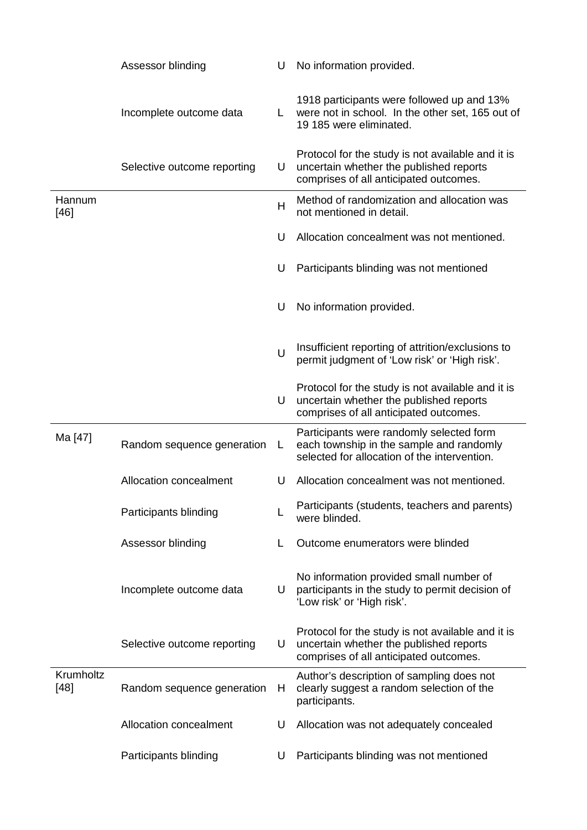|                     | Assessor blinding           | U  | No information provided.                                                                                                               |
|---------------------|-----------------------------|----|----------------------------------------------------------------------------------------------------------------------------------------|
|                     | Incomplete outcome data     | L. | 1918 participants were followed up and 13%<br>were not in school. In the other set, 165 out of<br>19 185 were eliminated.              |
|                     | Selective outcome reporting | U  | Protocol for the study is not available and it is<br>uncertain whether the published reports<br>comprises of all anticipated outcomes. |
| Hannum<br>$[46]$    |                             | H  | Method of randomization and allocation was<br>not mentioned in detail.                                                                 |
|                     |                             | U  | Allocation concealment was not mentioned.                                                                                              |
|                     |                             | U  | Participants blinding was not mentioned                                                                                                |
|                     |                             | U  | No information provided.                                                                                                               |
|                     |                             | U  | Insufficient reporting of attrition/exclusions to<br>permit judgment of 'Low risk' or 'High risk'.                                     |
|                     |                             | U  | Protocol for the study is not available and it is<br>uncertain whether the published reports<br>comprises of all anticipated outcomes. |
| Ma [47]             | Random sequence generation  | L  | Participants were randomly selected form<br>each township in the sample and randomly<br>selected for allocation of the intervention.   |
|                     | Allocation concealment      | U  | Allocation concealment was not mentioned.                                                                                              |
|                     | Participants blinding       | L  | Participants (students, teachers and parents)<br>were blinded.                                                                         |
|                     | Assessor blinding           | L  | Outcome enumerators were blinded                                                                                                       |
|                     | Incomplete outcome data     | U  | No information provided small number of<br>participants in the study to permit decision of<br>'Low risk' or 'High risk'.               |
|                     | Selective outcome reporting | U  | Protocol for the study is not available and it is<br>uncertain whether the published reports<br>comprises of all anticipated outcomes. |
| Krumholtz<br>$[48]$ | Random sequence generation  | H  | Author's description of sampling does not<br>clearly suggest a random selection of the<br>participants.                                |
|                     | Allocation concealment      | U  | Allocation was not adequately concealed                                                                                                |
|                     | Participants blinding       | U  | Participants blinding was not mentioned                                                                                                |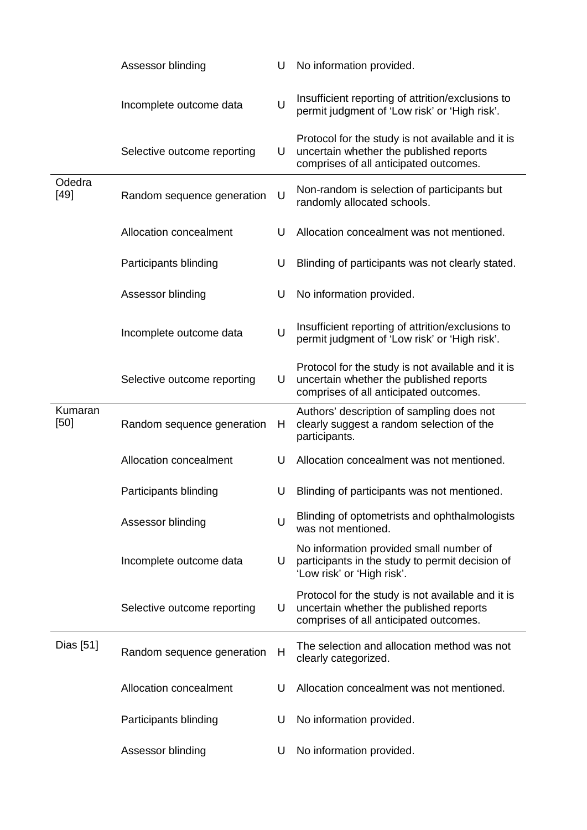|                  | Assessor blinding           | U      | No information provided.                                                                                                               |
|------------------|-----------------------------|--------|----------------------------------------------------------------------------------------------------------------------------------------|
|                  | Incomplete outcome data     | U      | Insufficient reporting of attrition/exclusions to<br>permit judgment of 'Low risk' or 'High risk'.                                     |
|                  | Selective outcome reporting | U      | Protocol for the study is not available and it is<br>uncertain whether the published reports<br>comprises of all anticipated outcomes. |
| Odedra<br>$[49]$ | Random sequence generation  | U      | Non-random is selection of participants but<br>randomly allocated schools.                                                             |
|                  | Allocation concealment      | U      | Allocation concealment was not mentioned.                                                                                              |
|                  | Participants blinding       | U      | Blinding of participants was not clearly stated.                                                                                       |
|                  | Assessor blinding           | U      | No information provided.                                                                                                               |
|                  | Incomplete outcome data     | $\cup$ | Insufficient reporting of attrition/exclusions to<br>permit judgment of 'Low risk' or 'High risk'.                                     |
|                  | Selective outcome reporting | U      | Protocol for the study is not available and it is<br>uncertain whether the published reports<br>comprises of all anticipated outcomes. |
| Kumaran<br>[50]  | Random sequence generation  | Н      | Authors' description of sampling does not<br>clearly suggest a random selection of the<br>participants.                                |
|                  | Allocation concealment      | U      | Allocation concealment was not mentioned.                                                                                              |
|                  | Participants blinding       | U      | Blinding of participants was not mentioned.                                                                                            |
|                  | Assessor blinding           | $\cup$ | Blinding of optometrists and ophthalmologists<br>was not mentioned.                                                                    |
|                  | Incomplete outcome data     | U      | No information provided small number of<br>participants in the study to permit decision of<br>'Low risk' or 'High risk'.               |
|                  | Selective outcome reporting | U      | Protocol for the study is not available and it is<br>uncertain whether the published reports<br>comprises of all anticipated outcomes. |
| Dias [51]        | Random sequence generation  | Н      | The selection and allocation method was not<br>clearly categorized.                                                                    |
|                  | Allocation concealment      | U      | Allocation concealment was not mentioned.                                                                                              |
|                  | Participants blinding       | U      | No information provided.                                                                                                               |
|                  | Assessor blinding           | U      | No information provided.                                                                                                               |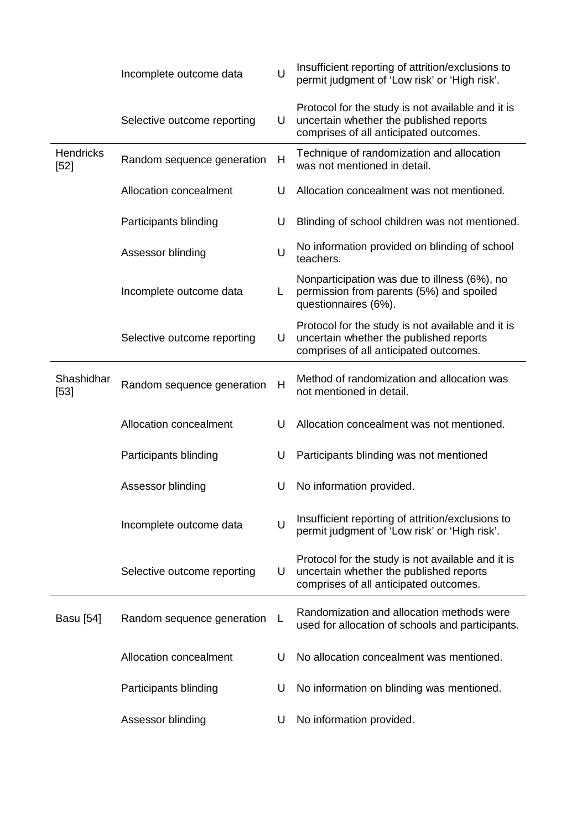|                            | Incomplete outcome data     | U            | Insufficient reporting of attrition/exclusions to<br>permit judgment of 'Low risk' or 'High risk'.                                     |
|----------------------------|-----------------------------|--------------|----------------------------------------------------------------------------------------------------------------------------------------|
|                            | Selective outcome reporting | U            | Protocol for the study is not available and it is<br>uncertain whether the published reports<br>comprises of all anticipated outcomes. |
| <b>Hendricks</b><br>$[52]$ | Random sequence generation  | $\mathsf{H}$ | Technique of randomization and allocation<br>was not mentioned in detail.                                                              |
|                            | Allocation concealment      | U            | Allocation concealment was not mentioned.                                                                                              |
|                            | Participants blinding       | U            | Blinding of school children was not mentioned.                                                                                         |
|                            | Assessor blinding           | U            | No information provided on blinding of school<br>teachers.                                                                             |
|                            | Incomplete outcome data     | L            | Nonparticipation was due to illness (6%), no<br>permission from parents (5%) and spoiled<br>questionnaires (6%).                       |
|                            | Selective outcome reporting | U            | Protocol for the study is not available and it is<br>uncertain whether the published reports<br>comprises of all anticipated outcomes. |
| Shashidhar<br>$[53]$       | Random sequence generation  | H            | Method of randomization and allocation was<br>not mentioned in detail.                                                                 |
|                            | Allocation concealment      | U            | Allocation concealment was not mentioned.                                                                                              |
|                            | Participants blinding       | U            | Participants blinding was not mentioned                                                                                                |
|                            | Assessor blinding           | U            | No information provided.                                                                                                               |
|                            | Incomplete outcome data     | $\cup$       | Insufficient reporting of attrition/exclusions to<br>permit judgment of 'Low risk' or 'High risk'.                                     |
|                            | Selective outcome reporting | U            | Protocol for the study is not available and it is<br>uncertain whether the published reports<br>comprises of all anticipated outcomes. |
| <b>Basu</b> [54]           | Random sequence generation  | L            | Randomization and allocation methods were<br>used for allocation of schools and participants.                                          |
|                            | Allocation concealment      | U            | No allocation concealment was mentioned.                                                                                               |
|                            | Participants blinding       | U            | No information on blinding was mentioned.                                                                                              |
|                            | Assessor blinding           | U            | No information provided.                                                                                                               |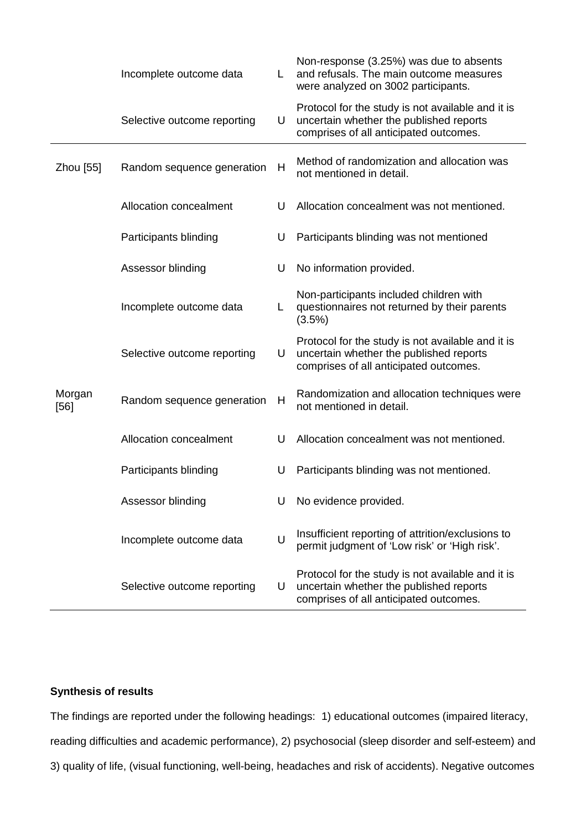|                | Incomplete outcome data     | L | Non-response (3.25%) was due to absents<br>and refusals. The main outcome measures<br>were analyzed on 3002 participants.              |
|----------------|-----------------------------|---|----------------------------------------------------------------------------------------------------------------------------------------|
|                | Selective outcome reporting | U | Protocol for the study is not available and it is<br>uncertain whether the published reports<br>comprises of all anticipated outcomes. |
| Zhou [55]      | Random sequence generation  | H | Method of randomization and allocation was<br>not mentioned in detail.                                                                 |
|                | Allocation concealment      | U | Allocation concealment was not mentioned.                                                                                              |
|                | Participants blinding       | U | Participants blinding was not mentioned                                                                                                |
|                | Assessor blinding           | U | No information provided.                                                                                                               |
|                | Incomplete outcome data     | L | Non-participants included children with<br>questionnaires not returned by their parents<br>(3.5%)                                      |
|                | Selective outcome reporting | U | Protocol for the study is not available and it is<br>uncertain whether the published reports<br>comprises of all anticipated outcomes. |
| Morgan<br>[56] | Random sequence generation  | Н | Randomization and allocation techniques were<br>not mentioned in detail.                                                               |
|                | Allocation concealment      | U | Allocation concealment was not mentioned.                                                                                              |
|                | Participants blinding       | U | Participants blinding was not mentioned.                                                                                               |
|                | Assessor blinding           | U | No evidence provided.                                                                                                                  |
|                | Incomplete outcome data     | U | Insufficient reporting of attrition/exclusions to<br>permit judgment of 'Low risk' or 'High risk'.                                     |
|                | Selective outcome reporting | U | Protocol for the study is not available and it is<br>uncertain whether the published reports<br>comprises of all anticipated outcomes. |

## **Synthesis of results**

The findings are reported under the following headings: 1) educational outcomes (impaired literacy, reading difficulties and academic performance), 2) psychosocial (sleep disorder and self-esteem) and 3) quality of life, (visual functioning, well-being, headaches and risk of accidents). Negative outcomes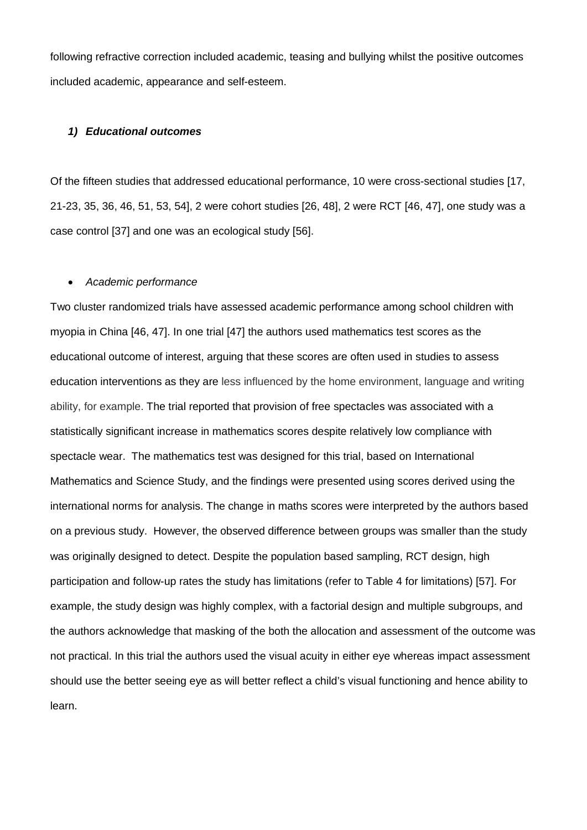following refractive correction included academic, teasing and bullying whilst the positive outcomes included academic, appearance and self-esteem.

#### *1) Educational outcomes*

Of the fifteen studies that addressed educational performance, 10 were cross-sectional studies [17, 21-23, 35, 36, 46, 51, 53, 54], 2 were cohort studies [26, 48], 2 were RCT [46, 47], one study was a case control [37] and one was an ecological study [56].

#### • *Academic performance*

Two cluster randomized trials have assessed academic performance among school children with myopia in China [46, 47]. In one trial [47] the authors used mathematics test scores as the educational outcome of interest, arguing that these scores are often used in studies to assess education interventions as they are less influenced by the home environment, language and writing ability, for example. The trial reported that provision of free spectacles was associated with a statistically significant increase in mathematics scores despite relatively low compliance with spectacle wear. The mathematics test was designed for this trial, based on International Mathematics and Science Study, and the findings were presented using scores derived using the international norms for analysis. The change in maths scores were interpreted by the authors based on a previous study. However, the observed difference between groups was smaller than the study was originally designed to detect. Despite the population based sampling, RCT design, high participation and follow-up rates the study has limitations (refer to Table 4 for limitations) [57]. For example, the study design was highly complex, with a factorial design and multiple subgroups, and the authors acknowledge that masking of the both the allocation and assessment of the outcome was not practical. In this trial the authors used the visual acuity in either eye whereas impact assessment should use the better seeing eye as will better reflect a child's visual functioning and hence ability to learn.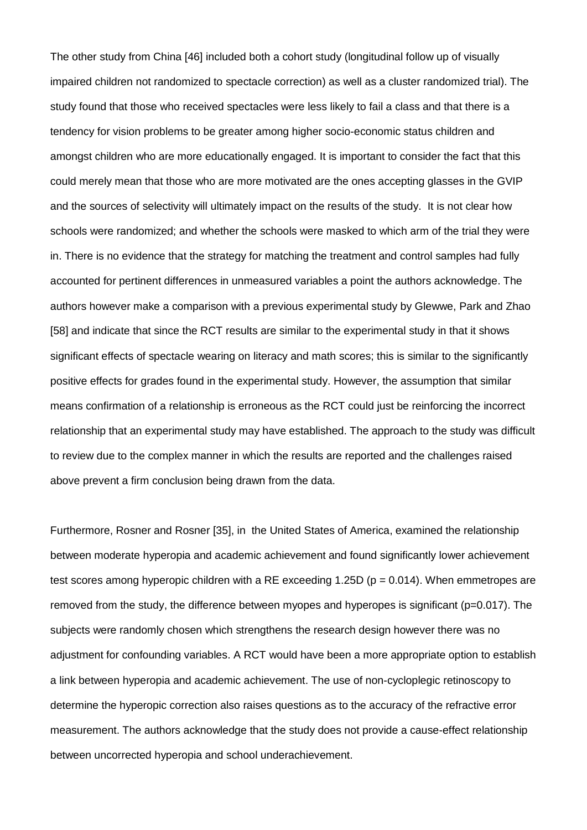The other study from China [46] included both a cohort study (longitudinal follow up of visually impaired children not randomized to spectacle correction) as well as a cluster randomized trial). The study found that those who received spectacles were less likely to fail a class and that there is a tendency for vision problems to be greater among higher socio-economic status children and amongst children who are more educationally engaged. It is important to consider the fact that this could merely mean that those who are more motivated are the ones accepting glasses in the GVIP and the sources of selectivity will ultimately impact on the results of the study. It is not clear how schools were randomized; and whether the schools were masked to which arm of the trial they were in. There is no evidence that the strategy for matching the treatment and control samples had fully accounted for pertinent differences in unmeasured variables a point the authors acknowledge. The authors however make a comparison with a previous experimental study by Glewwe, Park and Zhao [58] and indicate that since the RCT results are similar to the experimental study in that it shows significant effects of spectacle wearing on literacy and math scores; this is similar to the significantly positive effects for grades found in the experimental study. However, the assumption that similar means confirmation of a relationship is erroneous as the RCT could just be reinforcing the incorrect relationship that an experimental study may have established. The approach to the study was difficult to review due to the complex manner in which the results are reported and the challenges raised above prevent a firm conclusion being drawn from the data.

Furthermore, Rosner and Rosner [35], in the United States of America, examined the relationship between moderate hyperopia and academic achievement and found significantly lower achievement test scores among hyperopic children with a RE exceeding 1.25D ( $p = 0.014$ ). When emmetropes are removed from the study, the difference between myopes and hyperopes is significant (p=0.017). The subjects were randomly chosen which strengthens the research design however there was no adjustment for confounding variables. A RCT would have been a more appropriate option to establish a link between hyperopia and academic achievement. The use of non-cycloplegic retinoscopy to determine the hyperopic correction also raises questions as to the accuracy of the refractive error measurement. The authors acknowledge that the study does not provide a cause-effect relationship between uncorrected hyperopia and school underachievement.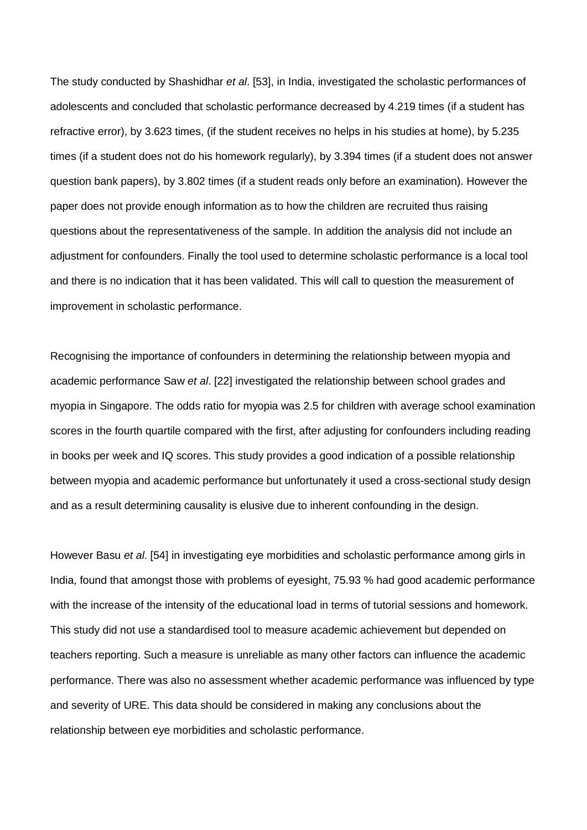The study conducted by Shashidhar *et al*. [53], in India, investigated the scholastic performances of adolescents and concluded that scholastic performance decreased by 4.219 times (if a student has refractive error), by 3.623 times, (if the student receives no helps in his studies at home), by 5.235 times (if a student does not do his homework regularly), by 3.394 times (if a student does not answer question bank papers), by 3.802 times (if a student reads only before an examination). However the paper does not provide enough information as to how the children are recruited thus raising questions about the representativeness of the sample. In addition the analysis did not include an adjustment for confounders. Finally the tool used to determine scholastic performance is a local tool and there is no indication that it has been validated. This will call to question the measurement of improvement in scholastic performance.

Recognising the importance of confounders in determining the relationship between myopia and academic performance Saw *et al*. [22] investigated the relationship between school grades and myopia in Singapore. The odds ratio for myopia was 2.5 for children with average school examination scores in the fourth quartile compared with the first, after adjusting for confounders including reading in books per week and IQ scores. This study provides a good indication of a possible relationship between myopia and academic performance but unfortunately it used a cross-sectional study design and as a result determining causality is elusive due to inherent confounding in the design.

However Basu *et al*. [54] in investigating eye morbidities and scholastic performance among girls in India, found that amongst those with problems of eyesight, 75.93 % had good academic performance with the increase of the intensity of the educational load in terms of tutorial sessions and homework. This study did not use a standardised tool to measure academic achievement but depended on teachers reporting. Such a measure is unreliable as many other factors can influence the academic performance. There was also no assessment whether academic performance was influenced by type and severity of URE. This data should be considered in making any conclusions about the relationship between eye morbidities and scholastic performance.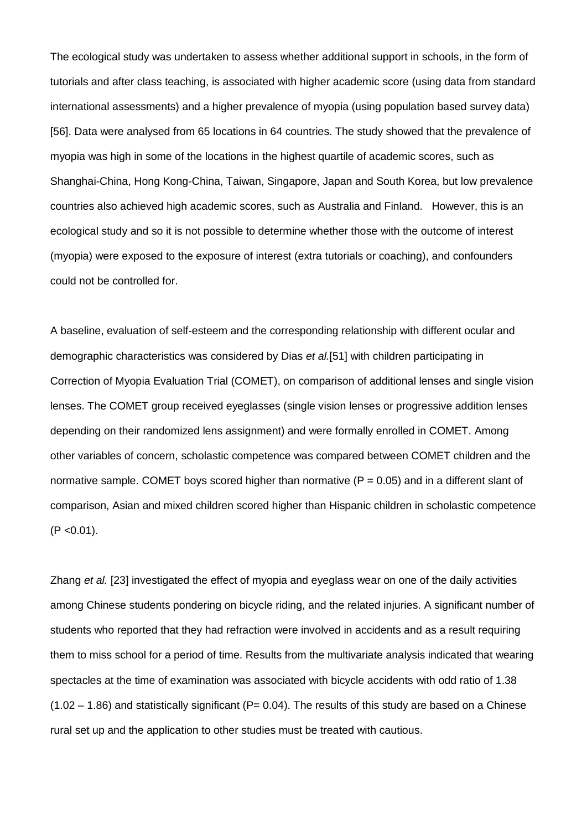The ecological study was undertaken to assess whether additional support in schools, in the form of tutorials and after class teaching, is associated with higher academic score (using data from standard international assessments) and a higher prevalence of myopia (using population based survey data) [56]. Data were analysed from 65 locations in 64 countries. The study showed that the prevalence of myopia was high in some of the locations in the highest quartile of academic scores, such as Shanghai-China, Hong Kong-China, Taiwan, Singapore, Japan and South Korea, but low prevalence countries also achieved high academic scores, such as Australia and Finland. However, this is an ecological study and so it is not possible to determine whether those with the outcome of interest (myopia) were exposed to the exposure of interest (extra tutorials or coaching), and confounders could not be controlled for.

A baseline, evaluation of self-esteem and the corresponding relationship with different ocular and demographic characteristics was considered by Dias *et al.*[51] with children participating in Correction of Myopia Evaluation Trial (COMET), on comparison of additional lenses and single vision lenses. The COMET group received eyeglasses (single vision lenses or progressive addition lenses depending on their randomized lens assignment) and were formally enrolled in COMET. Among other variables of concern, scholastic competence was compared between COMET children and the normative sample. COMET boys scored higher than normative ( $P = 0.05$ ) and in a different slant of comparison, Asian and mixed children scored higher than Hispanic children in scholastic competence  $(P < 0.01)$ .

Zhang *et al.* [23] investigated the effect of myopia and eyeglass wear on one of the daily activities among Chinese students pondering on bicycle riding, and the related injuries. A significant number of students who reported that they had refraction were involved in accidents and as a result requiring them to miss school for a period of time. Results from the multivariate analysis indicated that wearing spectacles at the time of examination was associated with bicycle accidents with odd ratio of 1.38  $(1.02 - 1.86)$  and statistically significant (P= 0.04). The results of this study are based on a Chinese rural set up and the application to other studies must be treated with cautious.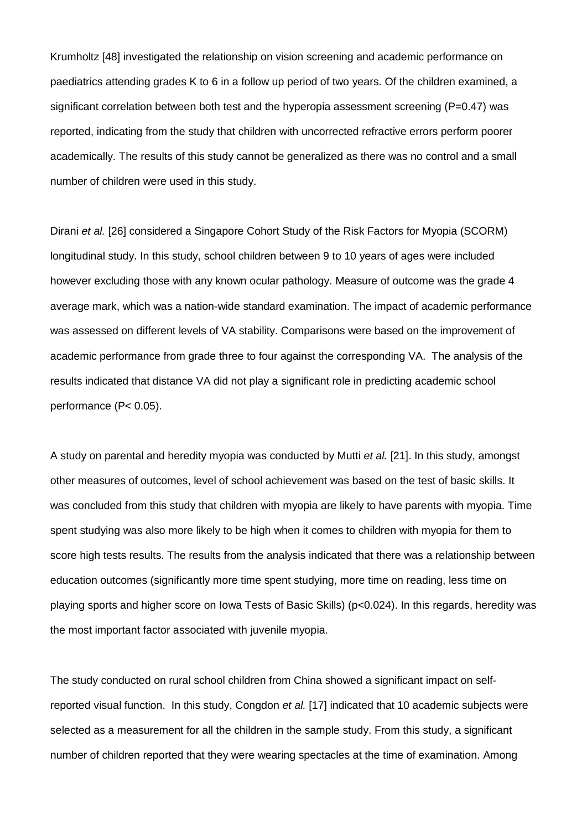Krumholtz [48] investigated the relationship on vision screening and academic performance on paediatrics attending grades K to 6 in a follow up period of two years. Of the children examined, a significant correlation between both test and the hyperopia assessment screening ( $P=0.47$ ) was reported, indicating from the study that children with uncorrected refractive errors perform poorer academically. The results of this study cannot be generalized as there was no control and a small number of children were used in this study.

Dirani *et al.* [26] considered a Singapore Cohort Study of the Risk Factors for Myopia (SCORM) longitudinal study. In this study, school children between 9 to 10 years of ages were included however excluding those with any known ocular pathology. Measure of outcome was the grade 4 average mark, which was a nation-wide standard examination. The impact of academic performance was assessed on different levels of VA stability. Comparisons were based on the improvement of academic performance from grade three to four against the corresponding VA. The analysis of the results indicated that distance VA did not play a significant role in predicting academic school performance (P< 0.05).

A study on parental and heredity myopia was conducted by Mutti *et al.* [21]. In this study, amongst other measures of outcomes, level of school achievement was based on the test of basic skills. It was concluded from this study that children with myopia are likely to have parents with myopia. Time spent studying was also more likely to be high when it comes to children with myopia for them to score high tests results. The results from the analysis indicated that there was a relationship between education outcomes (significantly more time spent studying, more time on reading, less time on playing sports and higher score on Iowa Tests of Basic Skills) (p<0.024). In this regards, heredity was the most important factor associated with juvenile myopia.

The study conducted on rural school children from China showed a significant impact on selfreported visual function. In this study, Congdon *et al.* [17] indicated that 10 academic subjects were selected as a measurement for all the children in the sample study. From this study, a significant number of children reported that they were wearing spectacles at the time of examination. Among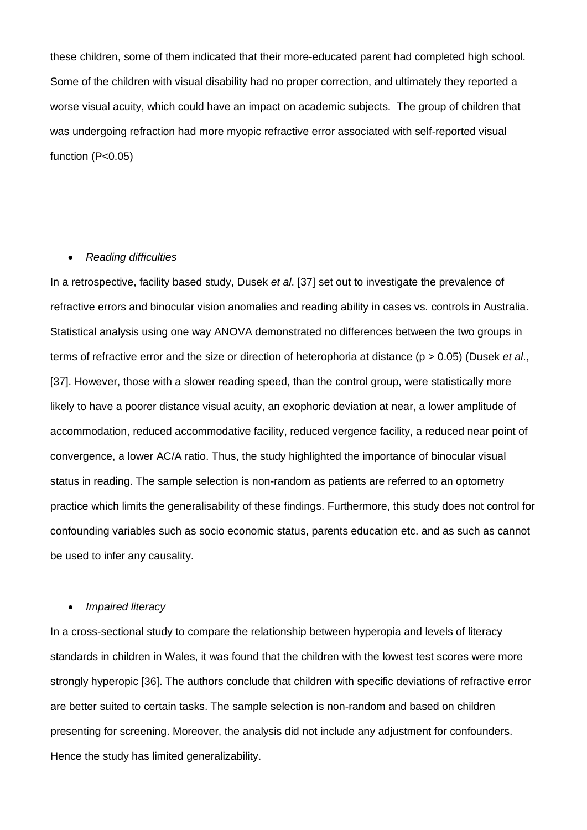these children, some of them indicated that their more-educated parent had completed high school. Some of the children with visual disability had no proper correction, and ultimately they reported a worse visual acuity, which could have an impact on academic subjects. The group of children that was undergoing refraction had more myopic refractive error associated with self-reported visual function (P<0.05)

## • *Reading difficulties*

In a retrospective, facility based study, Dusek *et al*. [37] set out to investigate the prevalence of refractive errors and binocular vision anomalies and reading ability in cases vs. controls in Australia. Statistical analysis using one way ANOVA demonstrated no differences between the two groups in terms of refractive error and the size or direction of heterophoria at distance (p > 0.05) (Dusek *et al*., [37]. However, those with a slower reading speed, than the control group, were statistically more likely to have a poorer distance visual acuity, an exophoric deviation at near, a lower amplitude of accommodation, reduced accommodative facility, reduced vergence facility, a reduced near point of convergence, a lower AC/A ratio. Thus, the study highlighted the importance of binocular visual status in reading. The sample selection is non-random as patients are referred to an optometry practice which limits the generalisability of these findings. Furthermore, this study does not control for confounding variables such as socio economic status, parents education etc. and as such as cannot be used to infer any causality.

#### • *Impaired literacy*

In a cross-sectional study to compare the relationship between hyperopia and levels of literacy standards in children in Wales, it was found that the children with the lowest test scores were more strongly hyperopic [36]. The authors conclude that children with specific deviations of refractive error are better suited to certain tasks. The sample selection is non-random and based on children presenting for screening. Moreover, the analysis did not include any adjustment for confounders. Hence the study has limited generalizability.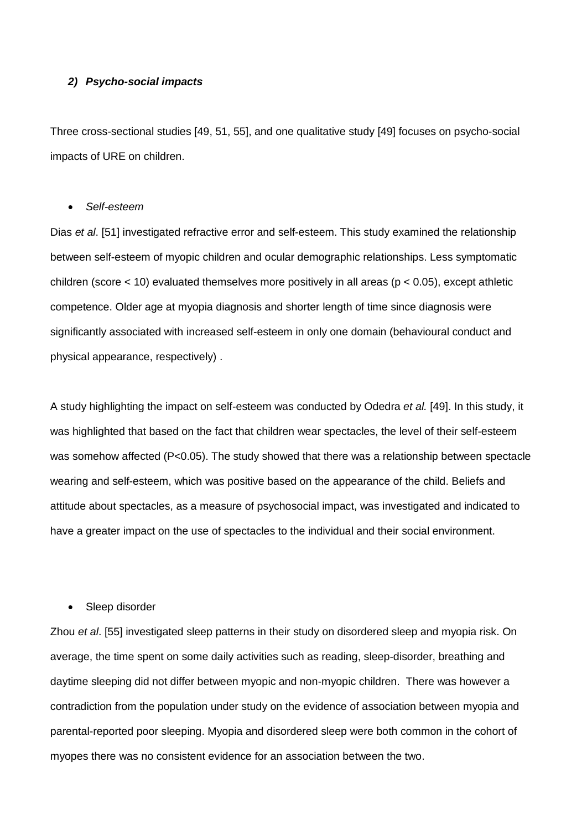## *2) Psycho-social impacts*

Three cross-sectional studies [49, 51, 55], and one qualitative study [49] focuses on psycho-social impacts of URE on children.

#### • *Self-esteem*

Dias *et al*. [51] investigated refractive error and self-esteem. This study examined the relationship between self-esteem of myopic children and ocular demographic relationships. Less symptomatic children (score  $<$  10) evaluated themselves more positively in all areas ( $p$   $<$  0.05), except athletic competence. Older age at myopia diagnosis and shorter length of time since diagnosis were significantly associated with increased self-esteem in only one domain (behavioural conduct and physical appearance, respectively) .

A study highlighting the impact on self-esteem was conducted by Odedra *et al.* [49]. In this study, it was highlighted that based on the fact that children wear spectacles, the level of their self-esteem was somehow affected (P<0.05). The study showed that there was a relationship between spectacle wearing and self-esteem, which was positive based on the appearance of the child. Beliefs and attitude about spectacles, as a measure of psychosocial impact, was investigated and indicated to have a greater impact on the use of spectacles to the individual and their social environment.

## Sleep disorder

Zhou *et al*. [55] investigated sleep patterns in their study on disordered sleep and myopia risk. On average, the time spent on some daily activities such as reading, sleep-disorder, breathing and daytime sleeping did not differ between myopic and non-myopic children. There was however a contradiction from the population under study on the evidence of association between myopia and parental-reported poor sleeping. Myopia and disordered sleep were both common in the cohort of myopes there was no consistent evidence for an association between the two.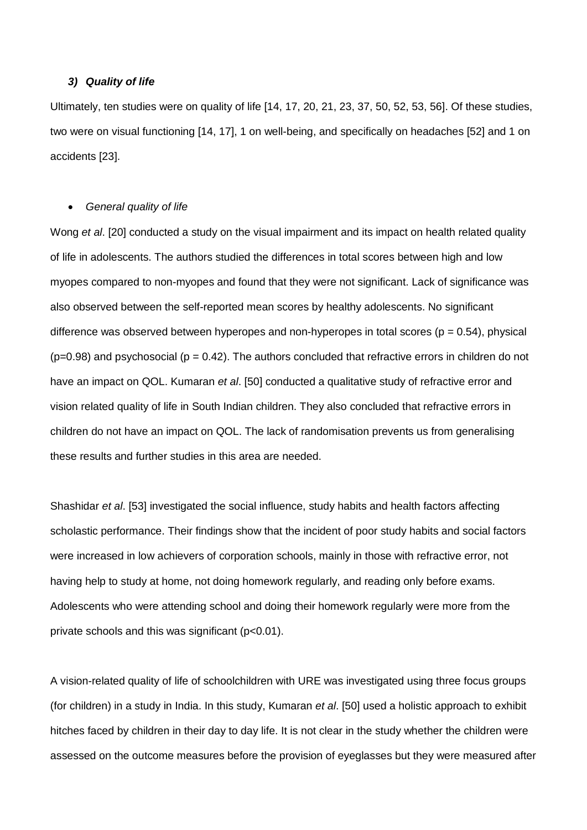## *3) Quality of life*

Ultimately, ten studies were on quality of life [14, 17, 20, 21, 23, 37, 50, 52, 53, 56]. Of these studies, two were on visual functioning [14, 17], 1 on well-being, and specifically on headaches [52] and 1 on accidents [23].

#### • *General quality of life*

Wong *et al*. [20] conducted a study on the visual impairment and its impact on health related quality of life in adolescents. The authors studied the differences in total scores between high and low myopes compared to non-myopes and found that they were not significant. Lack of significance was also observed between the self-reported mean scores by healthy adolescents. No significant difference was observed between hyperopes and non-hyperopes in total scores ( $p = 0.54$ ), physical  $(p=0.98)$  and psychosocial ( $p = 0.42$ ). The authors concluded that refractive errors in children do not have an impact on QOL. Kumaran *et al*. [50] conducted a qualitative study of refractive error and vision related quality of life in South Indian children. They also concluded that refractive errors in children do not have an impact on QOL. The lack of randomisation prevents us from generalising these results and further studies in this area are needed.

Shashidar *et al*. [53] investigated the social influence, study habits and health factors affecting scholastic performance. Their findings show that the incident of poor study habits and social factors were increased in low achievers of corporation schools, mainly in those with refractive error, not having help to study at home, not doing homework regularly, and reading only before exams. Adolescents who were attending school and doing their homework regularly were more from the private schools and this was significant (p<0.01).

A vision-related quality of life of schoolchildren with URE was investigated using three focus groups (for children) in a study in India. In this study, Kumaran *et al*. [50] used a holistic approach to exhibit hitches faced by children in their day to day life. It is not clear in the study whether the children were assessed on the outcome measures before the provision of eyeglasses but they were measured after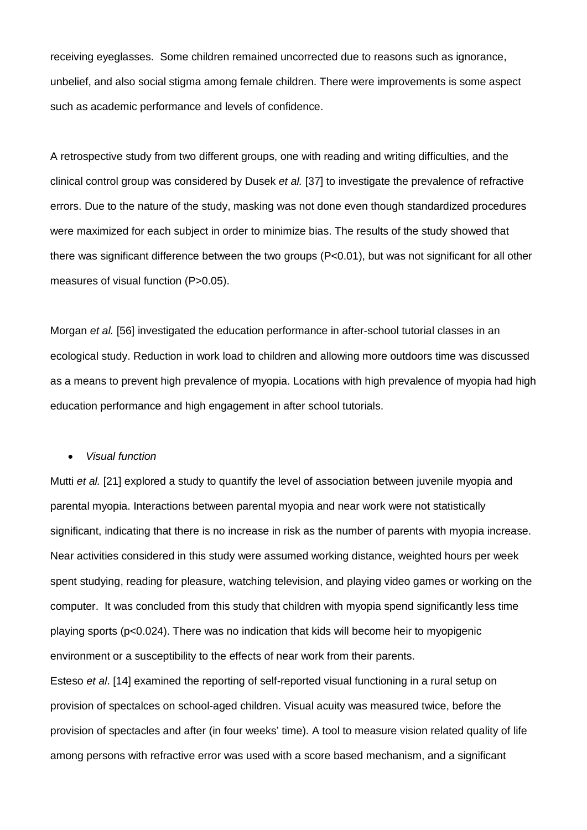receiving eyeglasses. Some children remained uncorrected due to reasons such as ignorance, unbelief, and also social stigma among female children. There were improvements is some aspect such as academic performance and levels of confidence.

A retrospective study from two different groups, one with reading and writing difficulties, and the clinical control group was considered by Dusek *et al.* [37] to investigate the prevalence of refractive errors. Due to the nature of the study, masking was not done even though standardized procedures were maximized for each subject in order to minimize bias. The results of the study showed that there was significant difference between the two groups (P<0.01), but was not significant for all other measures of visual function (P>0.05).

Morgan *et al.* [56] investigated the education performance in after-school tutorial classes in an ecological study. Reduction in work load to children and allowing more outdoors time was discussed as a means to prevent high prevalence of myopia. Locations with high prevalence of myopia had high education performance and high engagement in after school tutorials.

#### • *Visual function*

Mutti *et al.* [21] explored a study to quantify the level of association between juvenile myopia and parental myopia. Interactions between parental myopia and near work were not statistically significant, indicating that there is no increase in risk as the number of parents with myopia increase. Near activities considered in this study were assumed working distance, weighted hours per week spent studying, reading for pleasure, watching television, and playing video games or working on the computer. It was concluded from this study that children with myopia spend significantly less time playing sports (p<0.024). There was no indication that kids will become heir to myopigenic environment or a susceptibility to the effects of near work from their parents.

Esteso *et al*. [14] examined the reporting of self-reported visual functioning in a rural setup on provision of spectalces on school-aged children. Visual acuity was measured twice, before the provision of spectacles and after (in four weeks' time). A tool to measure vision related quality of life among persons with refractive error was used with a score based mechanism, and a significant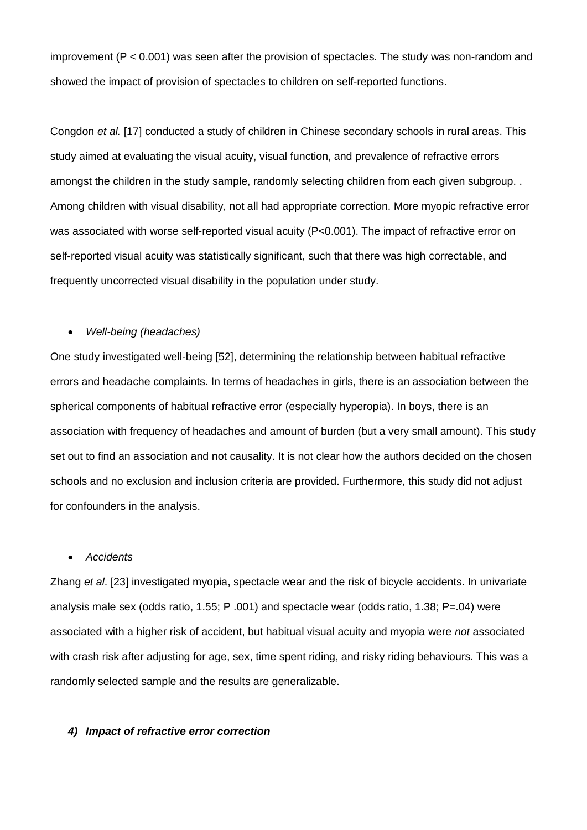improvement (P < 0.001) was seen after the provision of spectacles. The study was non-random and showed the impact of provision of spectacles to children on self-reported functions.

Congdon *et al.* [17] conducted a study of children in Chinese secondary schools in rural areas. This study aimed at evaluating the visual acuity, visual function, and prevalence of refractive errors amongst the children in the study sample, randomly selecting children from each given subgroup. . Among children with visual disability, not all had appropriate correction. More myopic refractive error was associated with worse self-reported visual acuity (P<0.001). The impact of refractive error on self-reported visual acuity was statistically significant, such that there was high correctable, and frequently uncorrected visual disability in the population under study.

## • *Well-being (headaches)*

One study investigated well-being [52], determining the relationship between habitual refractive errors and headache complaints. In terms of headaches in girls, there is an association between the spherical components of habitual refractive error (especially hyperopia). In boys, there is an association with frequency of headaches and amount of burden (but a very small amount). This study set out to find an association and not causality. It is not clear how the authors decided on the chosen schools and no exclusion and inclusion criteria are provided. Furthermore, this study did not adjust for confounders in the analysis.

## • *Accidents*

Zhang *et al*. [23] investigated myopia, spectacle wear and the risk of bicycle accidents. In univariate analysis male sex (odds ratio, 1.55; P .001) and spectacle wear (odds ratio, 1.38; P=.04) were associated with a higher risk of accident, but habitual visual acuity and myopia were *not* associated with crash risk after adjusting for age, sex, time spent riding, and risky riding behaviours. This was a randomly selected sample and the results are generalizable.

## *4) Impact of refractive error correction*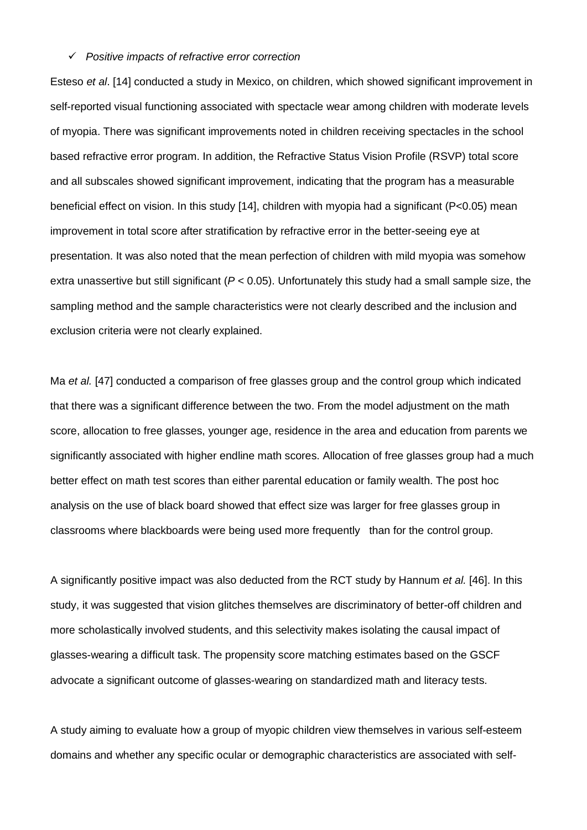#### *Positive impacts of refractive error correction*

Esteso *et al*. [14] conducted a study in Mexico, on children, which showed significant improvement in self-reported visual functioning associated with spectacle wear among children with moderate levels of myopia. There was significant improvements noted in children receiving spectacles in the school based refractive error program. In addition, the Refractive Status Vision Profile (RSVP) total score and all subscales showed significant improvement, indicating that the program has a measurable beneficial effect on vision. In this study [14], children with myopia had a significant (P<0.05) mean improvement in total score after stratification by refractive error in the better-seeing eye at presentation. It was also noted that the mean perfection of children with mild myopia was somehow extra unassertive but still significant (*P* < 0.05). Unfortunately this study had a small sample size, the sampling method and the sample characteristics were not clearly described and the inclusion and exclusion criteria were not clearly explained.

Ma *et al.* [47] conducted a comparison of free glasses group and the control group which indicated that there was a significant difference between the two. From the model adjustment on the math score, allocation to free glasses, younger age, residence in the area and education from parents we significantly associated with higher endline math scores. Allocation of free glasses group had a much better effect on math test scores than either parental education or family wealth. The post hoc analysis on the use of black board showed that effect size was larger for free glasses group in classrooms where blackboards were being used more frequently than for the control group.

A significantly positive impact was also deducted from the RCT study by Hannum *et al.* [46]. In this study, it was suggested that vision glitches themselves are discriminatory of better-off children and more scholastically involved students, and this selectivity makes isolating the causal impact of glasses-wearing a difficult task. The propensity score matching estimates based on the GSCF advocate a significant outcome of glasses-wearing on standardized math and literacy tests.

A study aiming to evaluate how a group of myopic children view themselves in various self-esteem domains and whether any specific ocular or demographic characteristics are associated with self-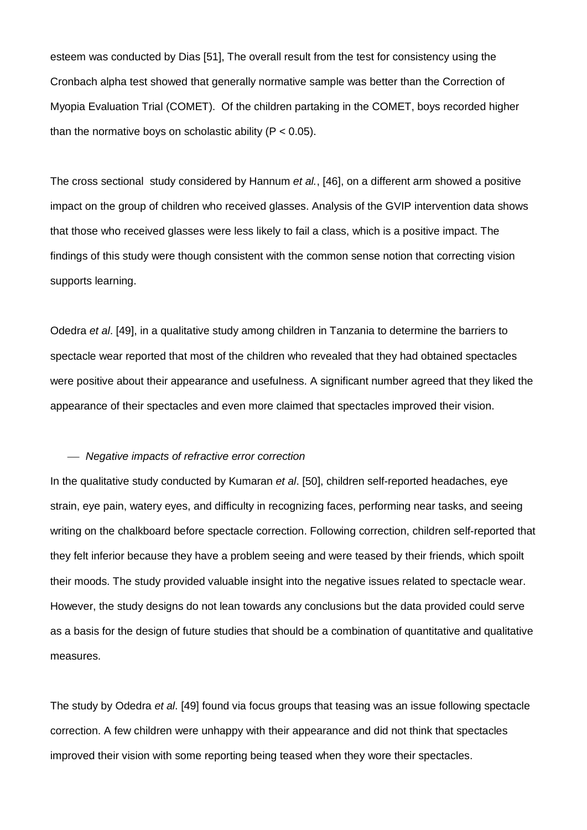esteem was conducted by Dias [51], The overall result from the test for consistency using the Cronbach alpha test showed that generally normative sample was better than the Correction of Myopia Evaluation Trial (COMET). Of the children partaking in the COMET, boys recorded higher than the normative boys on scholastic ability ( $P < 0.05$ ).

The cross sectional study considered by Hannum *et al.*, [46], on a different arm showed a positive impact on the group of children who received glasses. Analysis of the GVIP intervention data shows that those who received glasses were less likely to fail a class, which is a positive impact. The findings of this study were though consistent with the common sense notion that correcting vision supports learning.

Odedra *et al*. [49], in a qualitative study among children in Tanzania to determine the barriers to spectacle wear reported that most of the children who revealed that they had obtained spectacles were positive about their appearance and usefulness. A significant number agreed that they liked the appearance of their spectacles and even more claimed that spectacles improved their vision.

#### *Negative impacts of refractive error correction*

In the qualitative study conducted by Kumaran *et al*. [50], children self-reported headaches, eye strain, eye pain, watery eyes, and difficulty in recognizing faces, performing near tasks, and seeing writing on the chalkboard before spectacle correction. Following correction, children self-reported that they felt inferior because they have a problem seeing and were teased by their friends, which spoilt their moods. The study provided valuable insight into the negative issues related to spectacle wear. However, the study designs do not lean towards any conclusions but the data provided could serve as a basis for the design of future studies that should be a combination of quantitative and qualitative measures.

The study by Odedra *et al*. [49] found via focus groups that teasing was an issue following spectacle correction. A few children were unhappy with their appearance and did not think that spectacles improved their vision with some reporting being teased when they wore their spectacles.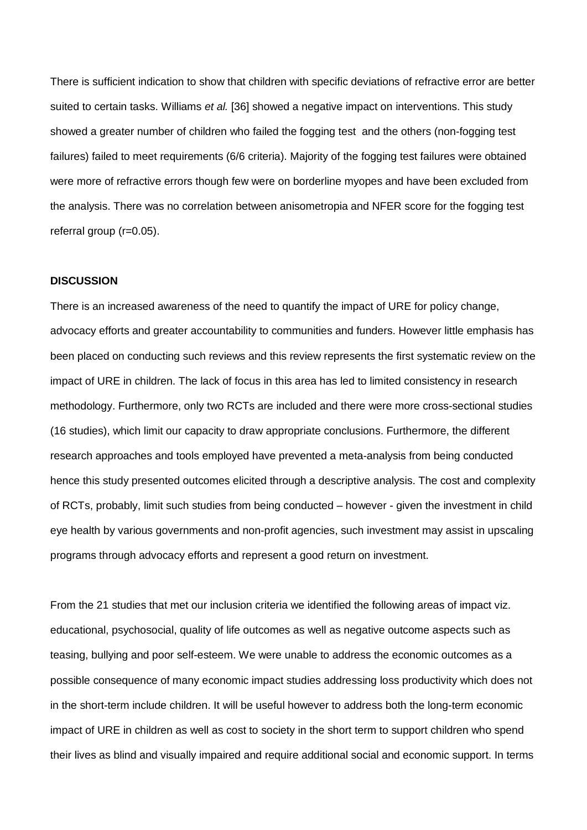There is sufficient indication to show that children with specific deviations of refractive error are better suited to certain tasks. Williams *et al.* [36] showed a negative impact on interventions. This study showed a greater number of children who failed the fogging test and the others (non-fogging test failures) failed to meet requirements (6/6 criteria). Majority of the fogging test failures were obtained were more of refractive errors though few were on borderline myopes and have been excluded from the analysis. There was no correlation between anisometropia and NFER score for the fogging test referral group (r=0.05).

#### **DISCUSSION**

There is an increased awareness of the need to quantify the impact of URE for policy change, advocacy efforts and greater accountability to communities and funders. However little emphasis has been placed on conducting such reviews and this review represents the first systematic review on the impact of URE in children. The lack of focus in this area has led to limited consistency in research methodology. Furthermore, only two RCTs are included and there were more cross-sectional studies (16 studies), which limit our capacity to draw appropriate conclusions. Furthermore, the different research approaches and tools employed have prevented a meta-analysis from being conducted hence this study presented outcomes elicited through a descriptive analysis. The cost and complexity of RCTs, probably, limit such studies from being conducted – however - given the investment in child eye health by various governments and non-profit agencies, such investment may assist in upscaling programs through advocacy efforts and represent a good return on investment.

From the 21 studies that met our inclusion criteria we identified the following areas of impact viz. educational, psychosocial, quality of life outcomes as well as negative outcome aspects such as teasing, bullying and poor self-esteem. We were unable to address the economic outcomes as a possible consequence of many economic impact studies addressing loss productivity which does not in the short-term include children. It will be useful however to address both the long-term economic impact of URE in children as well as cost to society in the short term to support children who spend their lives as blind and visually impaired and require additional social and economic support. In terms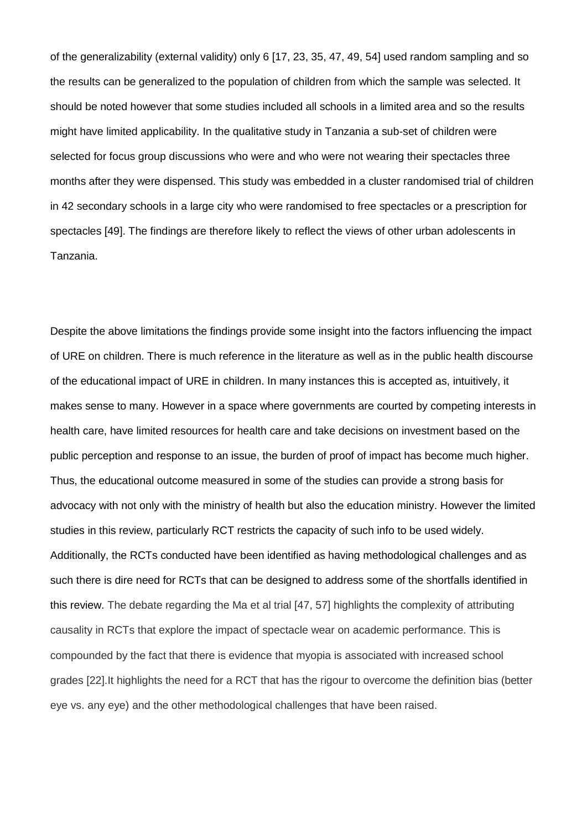of the generalizability (external validity) only 6 [17, 23, 35, 47, 49, 54] used random sampling and so the results can be generalized to the population of children from which the sample was selected. It should be noted however that some studies included all schools in a limited area and so the results might have limited applicability. In the qualitative study in Tanzania a sub-set of children were selected for focus group discussions who were and who were not wearing their spectacles three months after they were dispensed. This study was embedded in a cluster randomised trial of children in 42 secondary schools in a large city who were randomised to free spectacles or a prescription for spectacles [49]. The findings are therefore likely to reflect the views of other urban adolescents in Tanzania.

Despite the above limitations the findings provide some insight into the factors influencing the impact of URE on children. There is much reference in the literature as well as in the public health discourse of the educational impact of URE in children. In many instances this is accepted as, intuitively, it makes sense to many. However in a space where governments are courted by competing interests in health care, have limited resources for health care and take decisions on investment based on the public perception and response to an issue, the burden of proof of impact has become much higher. Thus, the educational outcome measured in some of the studies can provide a strong basis for advocacy with not only with the ministry of health but also the education ministry. However the limited studies in this review, particularly RCT restricts the capacity of such info to be used widely. Additionally, the RCTs conducted have been identified as having methodological challenges and as such there is dire need for RCTs that can be designed to address some of the shortfalls identified in this review. The debate regarding the Ma et al trial [47, 57] highlights the complexity of attributing causality in RCTs that explore the impact of spectacle wear on academic performance. This is compounded by the fact that there is evidence that myopia is associated with increased school grades [22].It highlights the need for a RCT that has the rigour to overcome the definition bias (better eye vs. any eye) and the other methodological challenges that have been raised.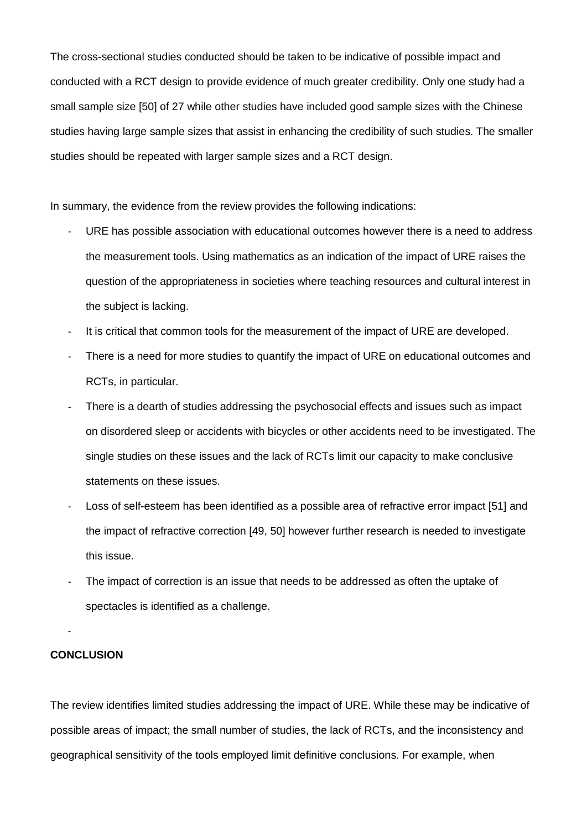The cross-sectional studies conducted should be taken to be indicative of possible impact and conducted with a RCT design to provide evidence of much greater credibility. Only one study had a small sample size [50] of 27 while other studies have included good sample sizes with the Chinese studies having large sample sizes that assist in enhancing the credibility of such studies. The smaller studies should be repeated with larger sample sizes and a RCT design.

In summary, the evidence from the review provides the following indications:

- URE has possible association with educational outcomes however there is a need to address the measurement tools. Using mathematics as an indication of the impact of URE raises the question of the appropriateness in societies where teaching resources and cultural interest in the subject is lacking.
- It is critical that common tools for the measurement of the impact of URE are developed.
- There is a need for more studies to quantify the impact of URE on educational outcomes and RCTs, in particular.
- There is a dearth of studies addressing the psychosocial effects and issues such as impact on disordered sleep or accidents with bicycles or other accidents need to be investigated. The single studies on these issues and the lack of RCTs limit our capacity to make conclusive statements on these issues.
- Loss of self-esteem has been identified as a possible area of refractive error impact [51] and the impact of refractive correction [49, 50] however further research is needed to investigate this issue.
- The impact of correction is an issue that needs to be addressed as often the uptake of spectacles is identified as a challenge.

## **CONCLUSION**

-

The review identifies limited studies addressing the impact of URE. While these may be indicative of possible areas of impact; the small number of studies, the lack of RCTs, and the inconsistency and geographical sensitivity of the tools employed limit definitive conclusions. For example, when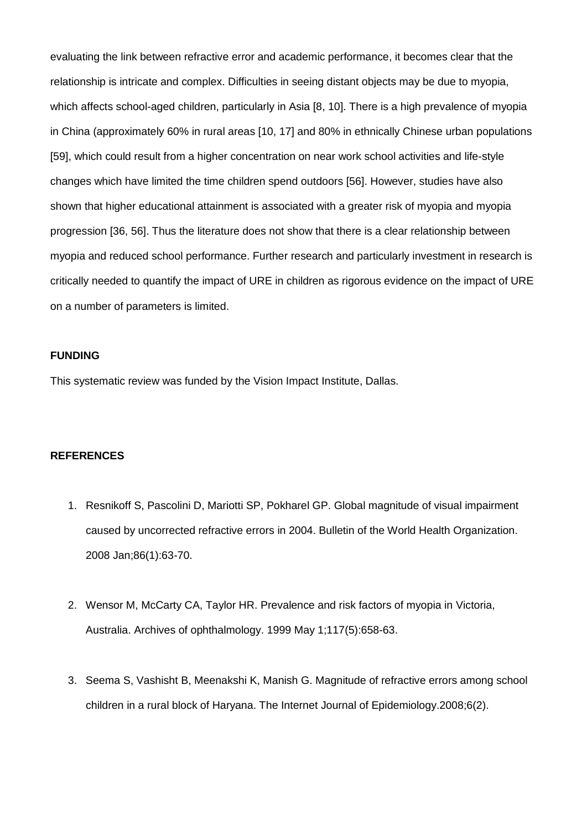evaluating the link between refractive error and academic performance, it becomes clear that the relationship is intricate and complex. Difficulties in seeing distant objects may be due to myopia, which affects school-aged children, particularly in Asia [8, 10]. There is a high prevalence of myopia in China (approximately 60% in rural areas [10, 17] and 80% in ethnically Chinese urban populations [59], which could result from a higher concentration on near work school activities and life-style changes which have limited the time children spend outdoors [56]. However, studies have also shown that higher educational attainment is associated with a greater risk of myopia and myopia progression [36, 56]. Thus the literature does not show that there is a clear relationship between myopia and reduced school performance. Further research and particularly investment in research is critically needed to quantify the impact of URE in children as rigorous evidence on the impact of URE on a number of parameters is limited.

## **FUNDING**

This systematic review was funded by the Vision Impact Institute, Dallas.

#### **REFERENCES**

- 1. Resnikoff S, Pascolini D, Mariotti SP, Pokharel GP. Global magnitude of visual impairment caused by uncorrected refractive errors in 2004. Bulletin of the World Health Organization. 2008 Jan;86(1):63-70.
- 2. Wensor M, McCarty CA, Taylor HR. Prevalence and risk factors of myopia in Victoria, Australia. Archives of ophthalmology. 1999 May 1;117(5):658-63.
- 3. Seema S, Vashisht B, Meenakshi K, Manish G. Magnitude of refractive errors among school children in a rural block of Haryana. The Internet Journal of Epidemiology.2008;6(2).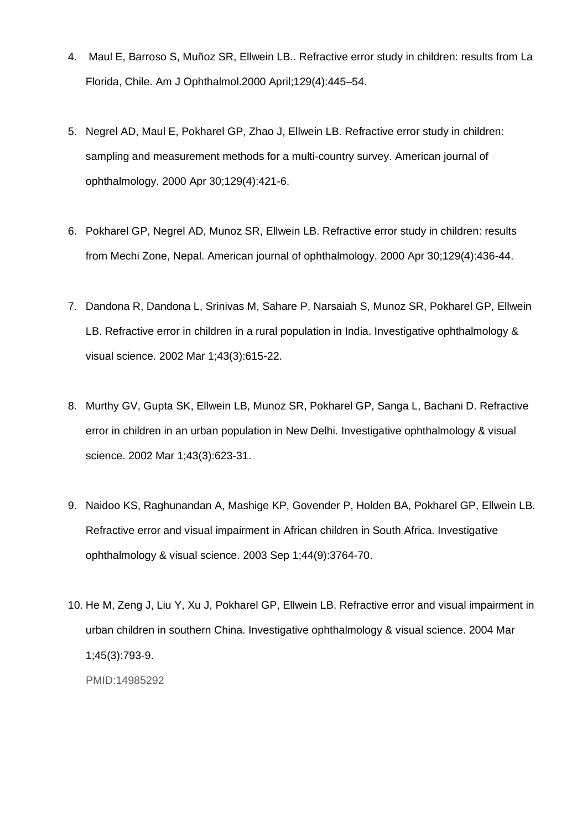- 4. Maul E, Barroso S, Muñoz SR, Ellwein LB.. Refractive error study in children: results from La Florida, Chile. Am J Ophthalmol.2000 April;129(4):445–54.
- 5. Negrel AD, Maul E, Pokharel GP, Zhao J, Ellwein LB. Refractive error study in children: sampling and measurement methods for a multi-country survey. American journal of ophthalmology. 2000 Apr 30;129(4):421-6.
- 6. Pokharel GP, Negrel AD, Munoz SR, Ellwein LB. Refractive error study in children: results from Mechi Zone, Nepal. American journal of ophthalmology. 2000 Apr 30;129(4):436-44.
- 7. Dandona R, Dandona L, Srinivas M, Sahare P, Narsaiah S, Munoz SR, Pokharel GP, Ellwein LB. Refractive error in children in a rural population in India. Investigative ophthalmology & visual science. 2002 Mar 1;43(3):615-22.
- 8. Murthy GV, Gupta SK, Ellwein LB, Munoz SR, Pokharel GP, Sanga L, Bachani D. Refractive error in children in an urban population in New Delhi. Investigative ophthalmology & visual science. 2002 Mar 1;43(3):623-31.
- 9. Naidoo KS, Raghunandan A, Mashige KP, Govender P, Holden BA, Pokharel GP, Ellwein LB. Refractive error and visual impairment in African children in South Africa. Investigative ophthalmology & visual science. 2003 Sep 1;44(9):3764-70.
- 10. He M, Zeng J, Liu Y, Xu J, Pokharel GP, Ellwein LB. Refractive error and visual impairment in urban children in southern China. Investigative ophthalmology & visual science. 2004 Mar 1;45(3):793-9. PMID:14985292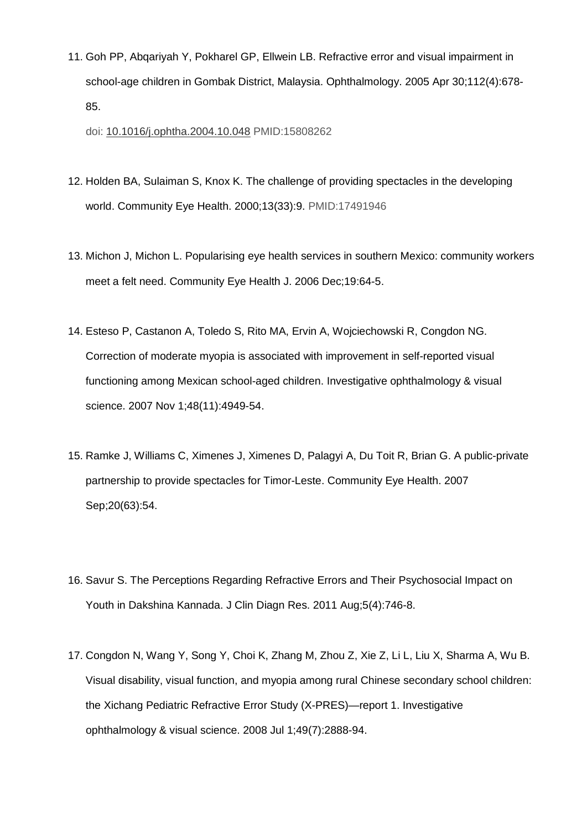11. Goh PP, Abqariyah Y, Pokharel GP, Ellwein LB. Refractive error and visual impairment in school-age children in Gombak District, Malaysia. Ophthalmology. 2005 Apr 30;112(4):678- 85.

doi: [10.1016/j.ophtha.2004.10.048](https://dx.doi.org/10.1016/j.ophtha.2004.10.048) PMID:15808262

- 12. Holden BA, Sulaiman S, Knox K. The challenge of providing spectacles in the developing world. Community Eye Health. 2000;13(33):9. PMID:17491946
- 13. Michon J, Michon L. Popularising eye health services in southern Mexico: community workers meet a felt need. Community Eye Health J. 2006 Dec;19:64-5.
- 14. Esteso P, Castanon A, Toledo S, Rito MA, Ervin A, Wojciechowski R, Congdon NG. Correction of moderate myopia is associated with improvement in self-reported visual functioning among Mexican school-aged children. Investigative ophthalmology & visual science. 2007 Nov 1;48(11):4949-54.
- 15. Ramke J, Williams C, Ximenes J, Ximenes D, Palagyi A, Du Toit R, Brian G. A public-private partnership to provide spectacles for Timor-Leste. Community Eye Health. 2007 Sep;20(63):54.
- 16. Savur S. The Perceptions Regarding Refractive Errors and Their Psychosocial Impact on Youth in Dakshina Kannada. J Clin Diagn Res. 2011 Aug;5(4):746-8.
- 17. Congdon N, Wang Y, Song Y, Choi K, Zhang M, Zhou Z, Xie Z, Li L, Liu X, Sharma A, Wu B. Visual disability, visual function, and myopia among rural Chinese secondary school children: the Xichang Pediatric Refractive Error Study (X-PRES)—report 1. Investigative ophthalmology & visual science. 2008 Jul 1;49(7):2888-94.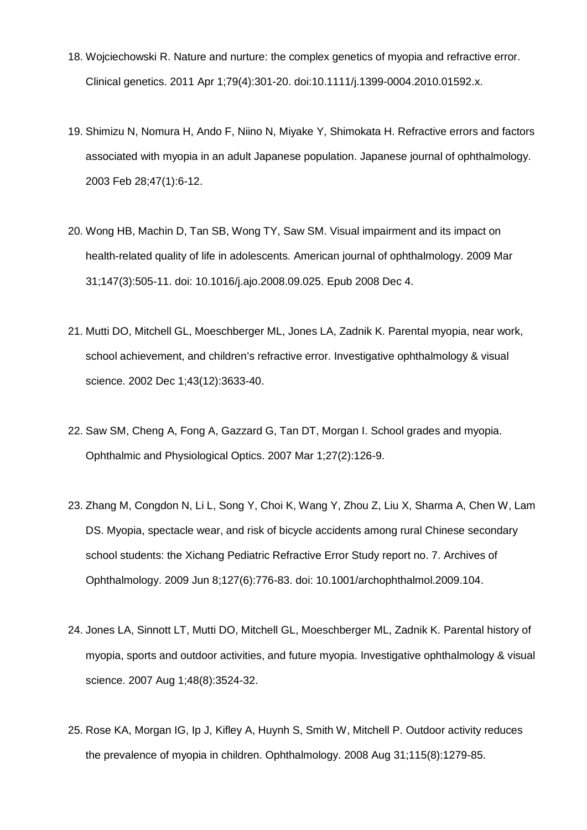- 18. Wojciechowski R. Nature and nurture: the complex genetics of myopia and refractive error. Clinical genetics. 2011 Apr 1;79(4):301-20. doi:10.1111/j.1399-0004.2010.01592.x.
- 19. Shimizu N, Nomura H, Ando F, Niino N, Miyake Y, Shimokata H. Refractive errors and factors associated with myopia in an adult Japanese population. Japanese journal of ophthalmology. 2003 Feb 28;47(1):6-12.
- 20. Wong HB, Machin D, Tan SB, Wong TY, Saw SM. Visual impairment and its impact on health-related quality of life in adolescents. American journal of ophthalmology. 2009 Mar 31;147(3):505-11. doi: 10.1016/j.ajo.2008.09.025. Epub 2008 Dec 4.
- 21. Mutti DO, Mitchell GL, Moeschberger ML, Jones LA, Zadnik K. Parental myopia, near work, school achievement, and children's refractive error. Investigative ophthalmology & visual science. 2002 Dec 1;43(12):3633-40.
- 22. Saw SM, Cheng A, Fong A, Gazzard G, Tan DT, Morgan I. School grades and myopia. Ophthalmic and Physiological Optics. 2007 Mar 1;27(2):126-9.
- 23. Zhang M, Congdon N, Li L, Song Y, Choi K, Wang Y, Zhou Z, Liu X, Sharma A, Chen W, Lam DS. Myopia, spectacle wear, and risk of bicycle accidents among rural Chinese secondary school students: the Xichang Pediatric Refractive Error Study report no. 7. Archives of Ophthalmology. 2009 Jun 8;127(6):776-83. doi: 10.1001/archophthalmol.2009.104.
- 24. Jones LA, Sinnott LT, Mutti DO, Mitchell GL, Moeschberger ML, Zadnik K. Parental history of myopia, sports and outdoor activities, and future myopia. Investigative ophthalmology & visual science. 2007 Aug 1;48(8):3524-32.
- 25. Rose KA, Morgan IG, Ip J, Kifley A, Huynh S, Smith W, Mitchell P. Outdoor activity reduces the prevalence of myopia in children. Ophthalmology. 2008 Aug 31;115(8):1279-85.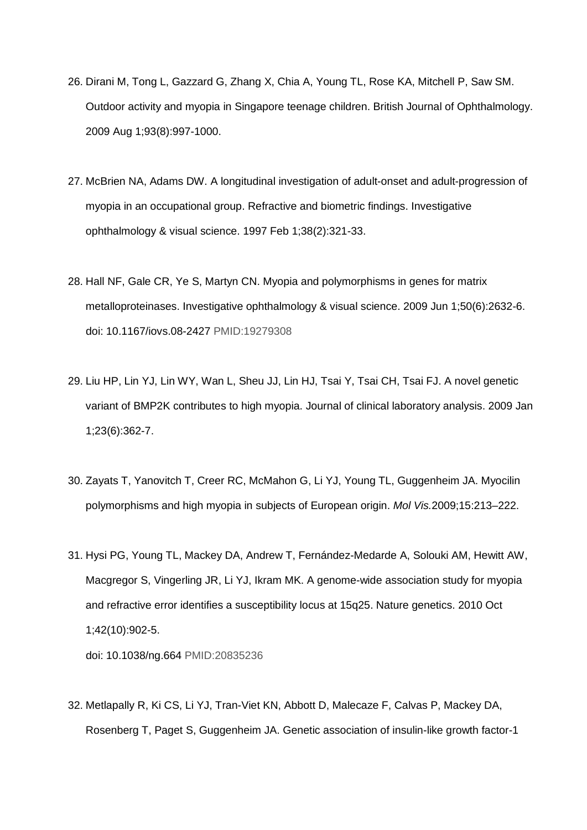- 26. Dirani M, Tong L, Gazzard G, Zhang X, Chia A, Young TL, Rose KA, Mitchell P, Saw SM. Outdoor activity and myopia in Singapore teenage children. British Journal of Ophthalmology. 2009 Aug 1;93(8):997-1000.
- 27. McBrien NA, Adams DW. A longitudinal investigation of adult-onset and adult-progression of myopia in an occupational group. Refractive and biometric findings. Investigative ophthalmology & visual science. 1997 Feb 1;38(2):321-33.
- 28. Hall NF, Gale CR, Ye S, Martyn CN. Myopia and polymorphisms in genes for matrix metalloproteinases. Investigative ophthalmology & visual science. 2009 Jun 1;50(6):2632-6. doi: 10.1167/iovs.08-2427 PMID:19279308
- 29. Liu HP, Lin YJ, Lin WY, Wan L, Sheu JJ, Lin HJ, Tsai Y, Tsai CH, Tsai FJ. A novel genetic variant of BMP2K contributes to high myopia. Journal of clinical laboratory analysis. 2009 Jan 1;23(6):362-7.
- 30. Zayats T, Yanovitch T, Creer RC, McMahon G, Li YJ, Young TL, Guggenheim JA. Myocilin polymorphisms and high myopia in subjects of European origin. *Mol Vis.*2009;15:213–222.
- 31. Hysi PG, Young TL, Mackey DA, Andrew T, Fernández-Medarde A, Solouki AM, Hewitt AW, Macgregor S, Vingerling JR, Li YJ, Ikram MK. A genome-wide association study for myopia and refractive error identifies a susceptibility locus at 15q25. Nature genetics. 2010 Oct 1;42(10):902-5.

doi: 10.1038/ng.664 PMID:20835236

32. Metlapally R, Ki CS, Li YJ, Tran-Viet KN, Abbott D, Malecaze F, Calvas P, Mackey DA, Rosenberg T, Paget S, Guggenheim JA. Genetic association of insulin-like growth factor-1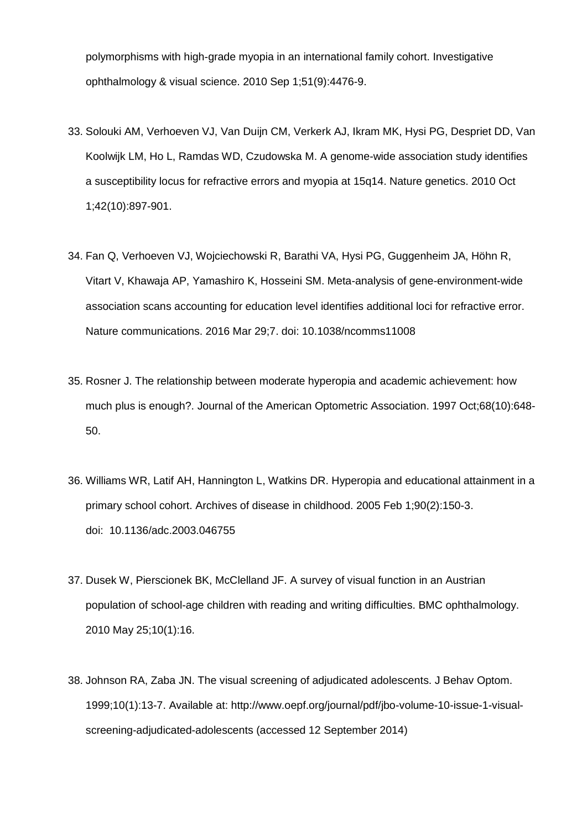polymorphisms with high-grade myopia in an international family cohort. Investigative ophthalmology & visual science. 2010 Sep 1;51(9):4476-9.

- 33. Solouki AM, Verhoeven VJ, Van Duijn CM, Verkerk AJ, Ikram MK, Hysi PG, Despriet DD, Van Koolwijk LM, Ho L, Ramdas WD, Czudowska M. A genome-wide association study identifies a susceptibility locus for refractive errors and myopia at 15q14. Nature genetics. 2010 Oct 1;42(10):897-901.
- 34. Fan Q, Verhoeven VJ, Wojciechowski R, Barathi VA, Hysi PG, Guggenheim JA, Höhn R, Vitart V, Khawaja AP, Yamashiro K, Hosseini SM. Meta-analysis of gene-environment-wide association scans accounting for education level identifies additional loci for refractive error. Nature communications. 2016 Mar 29;7. doi: 10.1038/ncomms11008
- 35. Rosner J. The relationship between moderate hyperopia and academic achievement: how much plus is enough?. Journal of the American Optometric Association. 1997 Oct;68(10):648- 50.
- 36. Williams WR, Latif AH, Hannington L, Watkins DR. Hyperopia and educational attainment in a primary school cohort. Archives of disease in childhood. 2005 Feb 1;90(2):150-3. doi: [10.1136/adc.2003.046755](http://dx.doi.org/10.1136%2Fadc.2003.046755)
- 37. Dusek W, Pierscionek BK, McClelland JF. A survey of visual function in an Austrian population of school-age children with reading and writing difficulties. BMC ophthalmology. 2010 May 25;10(1):16.
- 38. Johnson RA, Zaba JN. The visual screening of adjudicated adolescents. J Behav Optom. 1999;10(1):13-7. Available at: [http://www.oepf.org/journal/pdf/jbo-volume-10-issue-1-visual](http://www.oepf.org/journal/pdf/jbo-volume-10-issue-1-visual-screening-adjudicated-adolescents)[screening-adjudicated-adolescents](http://www.oepf.org/journal/pdf/jbo-volume-10-issue-1-visual-screening-adjudicated-adolescents) (accessed 12 September 2014)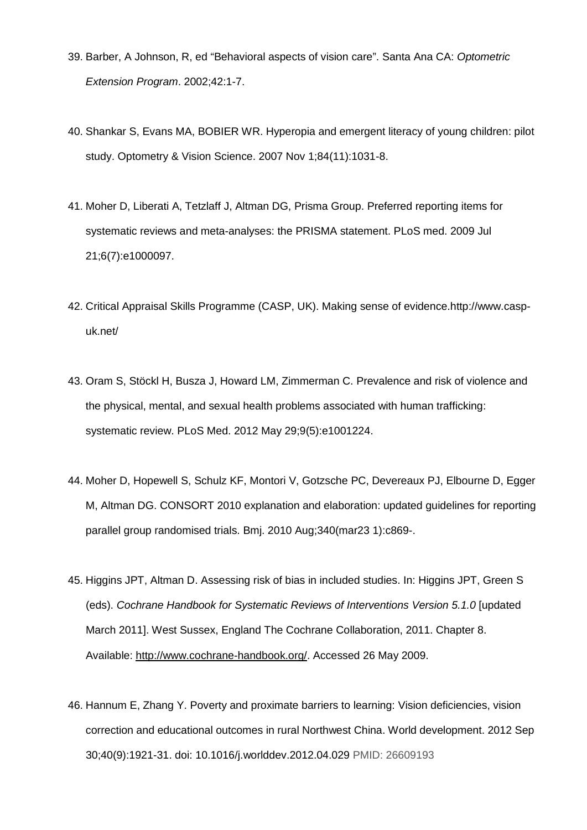- 39. Barber, A Johnson, R, ed "Behavioral aspects of vision care". Santa Ana CA: *Optometric Extension Program*. 2002;42:1-7.
- 40. Shankar S, Evans MA, BOBIER WR. Hyperopia and emergent literacy of young children: pilot study. Optometry & Vision Science. 2007 Nov 1;84(11):1031-8.
- 41. Moher D, Liberati A, Tetzlaff J, Altman DG, Prisma Group. Preferred reporting items for systematic reviews and meta-analyses: the PRISMA statement. PLoS med. 2009 Jul 21;6(7):e1000097.
- 42. Critical Appraisal Skills Programme (CASP, UK). Making sense of evidence[.http://www.casp](http://www.casp-uk.net/)[uk.net/](http://www.casp-uk.net/)
- 43. Oram S, Stöckl H, Busza J, Howard LM, Zimmerman C. Prevalence and risk of violence and the physical, mental, and sexual health problems associated with human trafficking: systematic review. PLoS Med. 2012 May 29;9(5):e1001224.
- 44. Moher D, Hopewell S, Schulz KF, Montori V, Gotzsche PC, Devereaux PJ, Elbourne D, Egger M, Altman DG. CONSORT 2010 explanation and elaboration: updated guidelines for reporting parallel group randomised trials. Bmj. 2010 Aug;340(mar23 1):c869-.
- 45. Higgins JPT, Altman D. Assessing risk of bias in included studies. In: Higgins JPT, Green S (eds). *Cochrane Handbook for Systematic Reviews of Interventions Version 5.1.0* [updated March 2011]. West Sussex, England The Cochrane Collaboration, 2011. Chapter 8. Available: [http://www.cochrane-handbook.org/.](http://www.cochrane-handbook.org/) Accessed 26 May 2009.
- 46. Hannum E, Zhang Y. Poverty and proximate barriers to learning: Vision deficiencies, vision correction and educational outcomes in rural Northwest China. World development. 2012 Sep 30;40(9):1921-31. doi: [10.1016/j.worlddev.2012.04.029](http://dx.doi.org/10.1016/j.worlddev.2012.04.029) PMID: 26609193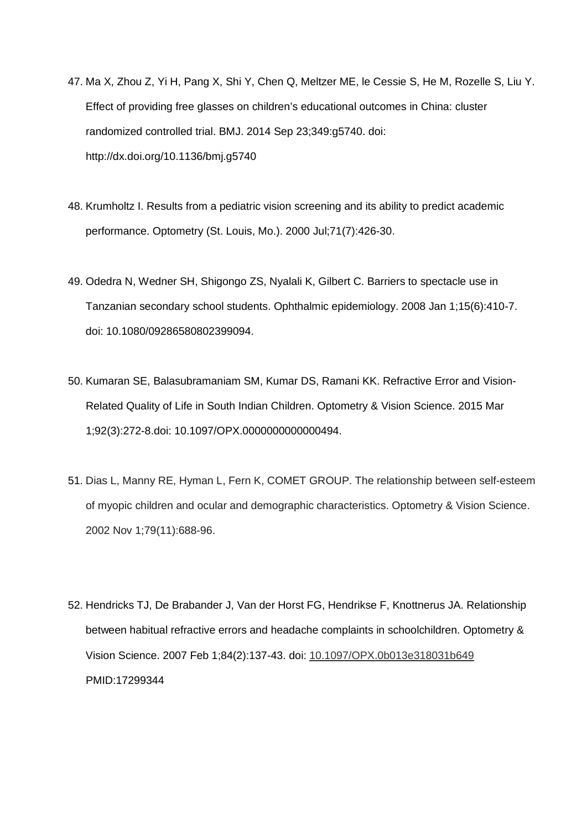- 47. Ma X, Zhou Z, Yi H, Pang X, Shi Y, Chen Q, Meltzer ME, le Cessie S, He M, Rozelle S, Liu Y. Effect of providing free glasses on children's educational outcomes in China: cluster randomized controlled trial. BMJ. 2014 Sep 23;349:g5740. doi: <http://dx.doi.org/10.1136/bmj.g5740>
- 48. Krumholtz I. Results from a pediatric vision screening and its ability to predict academic performance. Optometry (St. Louis, Mo.). 2000 Jul;71(7):426-30.
- 49. Odedra N, Wedner SH, Shigongo ZS, Nyalali K, Gilbert C. Barriers to spectacle use in Tanzanian secondary school students. Ophthalmic epidemiology. 2008 Jan 1;15(6):410-7. doi: 10.1080/09286580802399094.
- 50. Kumaran SE, Balasubramaniam SM, Kumar DS, Ramani KK. Refractive Error and Vision-Related Quality of Life in South Indian Children. Optometry & Vision Science. 2015 Mar 1;92(3):272-8.doi: 10.1097/OPX.0000000000000494.
- 51. Dias L, Manny RE, Hyman L, Fern K, COMET GROUP. The relationship between self-esteem of myopic children and ocular and demographic characteristics. Optometry & Vision Science. 2002 Nov 1;79(11):688-96.
- 52. Hendricks TJ, De Brabander J, Van der Horst FG, Hendrikse F, Knottnerus JA. Relationship between habitual refractive errors and headache complaints in schoolchildren. Optometry & Vision Science. 2007 Feb 1;84(2):137-43. doi: [10.1097/OPX.0b013e318031b649](https://dx.doi.org/10.1097/OPX.0b013e318031b649) PMID:17299344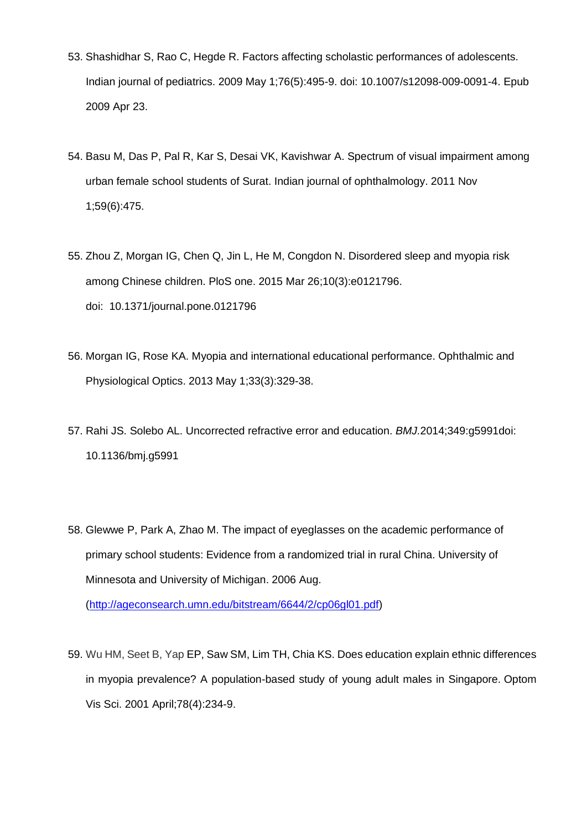- 53. Shashidhar S, Rao C, Hegde R. Factors affecting scholastic performances of adolescents. Indian journal of pediatrics. 2009 May 1;76(5):495-9. doi: 10.1007/s12098-009-0091-4. Epub 2009 Apr 23.
- 54. Basu M, Das P, Pal R, Kar S, Desai VK, Kavishwar A. Spectrum of visual impairment among urban female school students of Surat. Indian journal of ophthalmology. 2011 Nov 1;59(6):475.
- 55. Zhou Z, Morgan IG, Chen Q, Jin L, He M, Congdon N. Disordered sleep and myopia risk among Chinese children. PloS one. 2015 Mar 26;10(3):e0121796. doi: [10.1371/journal.pone.0121796](http://dx.doi.org/10.1371%2Fjournal.pone.0121796)
- 56. Morgan IG, Rose KA. Myopia and international educational performance. Ophthalmic and Physiological Optics. 2013 May 1;33(3):329-38.
- 57. Rahi JS. Solebo AL. Uncorrected refractive error and education. *BMJ.*2014;349:g5991doi: 10.1136/bmj.g5991
- 58. Glewwe P, Park A, Zhao M. The impact of eyeglasses on the academic performance of primary school students: Evidence from a randomized trial in rural China. University of Minnesota and University of Michigan. 2006 Aug.

[\(http://ageconsearch.umn.edu/bitstream/6644/2/cp06gl01.pdf\)](http://ageconsearch.umn.edu/bitstream/6644/2/cp06gl01.pdf)

59. Wu HM, Seet B, Yap EP, Saw SM, Lim TH, Chia KS. Does education explain ethnic differences in myopia prevalence? A population-based study of young adult males in Singapore. Optom Vis Sci. 2001 April;78(4):234-9.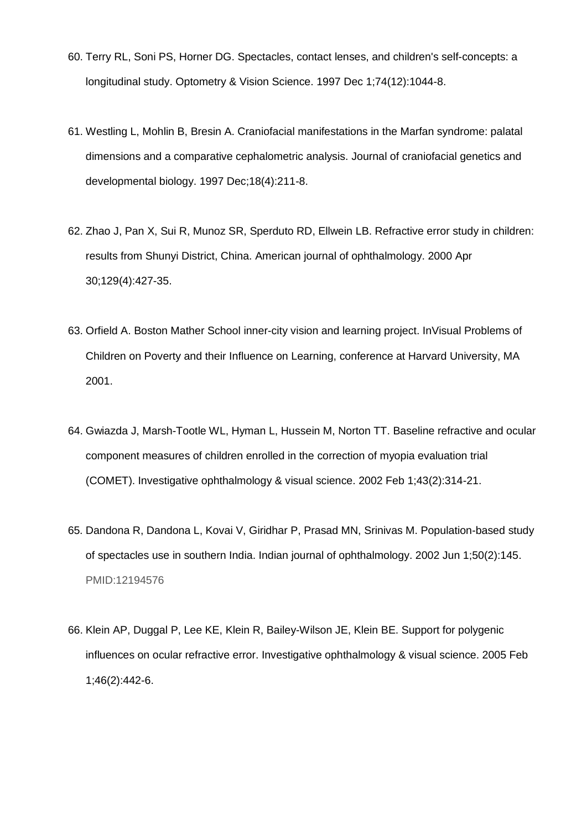- 60. Terry RL, Soni PS, Horner DG. Spectacles, contact lenses, and children's self-concepts: a longitudinal study. Optometry & Vision Science. 1997 Dec 1;74(12):1044-8.
- 61. Westling L, Mohlin B, Bresin A. Craniofacial manifestations in the Marfan syndrome: palatal dimensions and a comparative cephalometric analysis. Journal of craniofacial genetics and developmental biology. 1997 Dec;18(4):211-8.
- 62. Zhao J, Pan X, Sui R, Munoz SR, Sperduto RD, Ellwein LB. Refractive error study in children: results from Shunyi District, China. American journal of ophthalmology. 2000 Apr 30;129(4):427-35.
- 63. Orfield A. Boston Mather School inner-city vision and learning project. InVisual Problems of Children on Poverty and their Influence on Learning, conference at Harvard University, MA 2001.
- 64. Gwiazda J, Marsh-Tootle WL, Hyman L, Hussein M, Norton TT. Baseline refractive and ocular component measures of children enrolled in the correction of myopia evaluation trial (COMET). Investigative ophthalmology & visual science. 2002 Feb 1;43(2):314-21.
- 65. Dandona R, Dandona L, Kovai V, Giridhar P, Prasad MN, Srinivas M. Population-based study of spectacles use in southern India. Indian journal of ophthalmology. 2002 Jun 1;50(2):145. PMID:12194576
- 66. Klein AP, Duggal P, Lee KE, Klein R, Bailey-Wilson JE, Klein BE. Support for polygenic influences on ocular refractive error. Investigative ophthalmology & visual science. 2005 Feb 1;46(2):442-6.